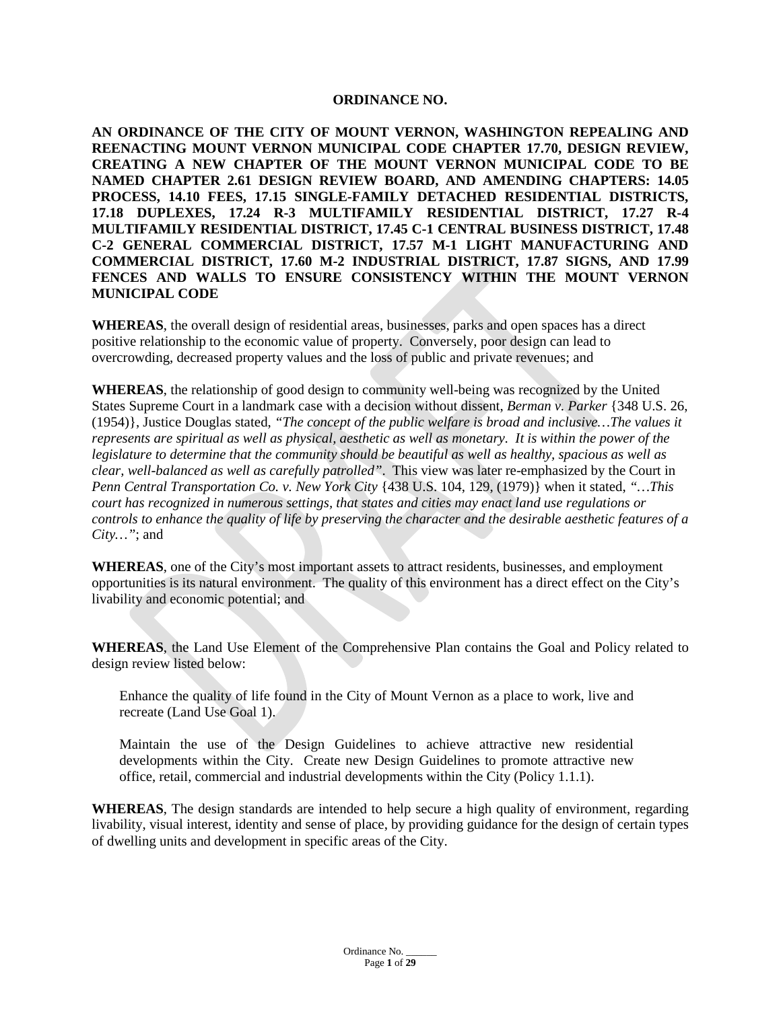#### **ORDINANCE NO.**

**AN ORDINANCE OF THE CITY OF MOUNT VERNON, WASHINGTON REPEALING AND REENACTING MOUNT VERNON MUNICIPAL CODE CHAPTER 17.70, DESIGN REVIEW, CREATING A NEW CHAPTER OF THE MOUNT VERNON MUNICIPAL CODE TO BE NAMED CHAPTER 2.61 DESIGN REVIEW BOARD, AND AMENDING CHAPTERS: 14.05 PROCESS, 14.10 FEES, 17.15 SINGLE-FAMILY DETACHED RESIDENTIAL DISTRICTS, 17.18 DUPLEXES, 17.24 R-3 MULTIFAMILY RESIDENTIAL DISTRICT, 17.27 R-4 MULTIFAMILY RESIDENTIAL DISTRICT, 17.45 C-1 CENTRAL BUSINESS DISTRICT, 17.48 C-2 GENERAL COMMERCIAL DISTRICT, 17.57 M-1 LIGHT MANUFACTURING AND COMMERCIAL DISTRICT, 17.60 M-2 INDUSTRIAL DISTRICT, 17.87 SIGNS, AND 17.99 FENCES AND WALLS TO ENSURE CONSISTENCY WITHIN THE MOUNT VERNON MUNICIPAL CODE**

**WHEREAS**, the overall design of residential areas, businesses, parks and open spaces has a direct positive relationship to the economic value of property. Conversely, poor design can lead to overcrowding, decreased property values and the loss of public and private revenues; and

**WHEREAS**, the relationship of good design to community well-being was recognized by the United States Supreme Court in a landmark case with a decision without dissent, *Berman v. Parker* {348 U.S. 26, (1954)}, Justice Douglas stated, *"The concept of the public welfare is broad and inclusive…The values it represents are spiritual as well as physical, aesthetic as well as monetary. It is within the power of the legislature to determine that the community should be beautiful as well as healthy, spacious as well as clear, well-balanced as well as carefully patrolled"*. This view was later re-emphasized by the Court in *Penn Central Transportation Co. v. New York City* {438 U.S. 104, 129, (1979)} when it stated, *"…This court has recognized in numerous settings, that states and cities may enact land use regulations or controls to enhance the quality of life by preserving the character and the desirable aesthetic features of a City…"*; and

**WHEREAS**, one of the City's most important assets to attract residents, businesses, and employment opportunities is its natural environment. The quality of this environment has a direct effect on the City's livability and economic potential; and

**WHEREAS**, the Land Use Element of the Comprehensive Plan contains the Goal and Policy related to design review listed below:

Enhance the quality of life found in the City of Mount Vernon as a place to work, live and recreate (Land Use Goal 1).

Maintain the use of the Design Guidelines to achieve attractive new residential developments within the City. Create new Design Guidelines to promote attractive new office, retail, commercial and industrial developments within the City (Policy 1.1.1).

**WHEREAS**, The design standards are intended to help secure a high quality of environment, regarding livability, visual interest, identity and sense of place, by providing guidance for the design of certain types of dwelling units and development in specific areas of the City.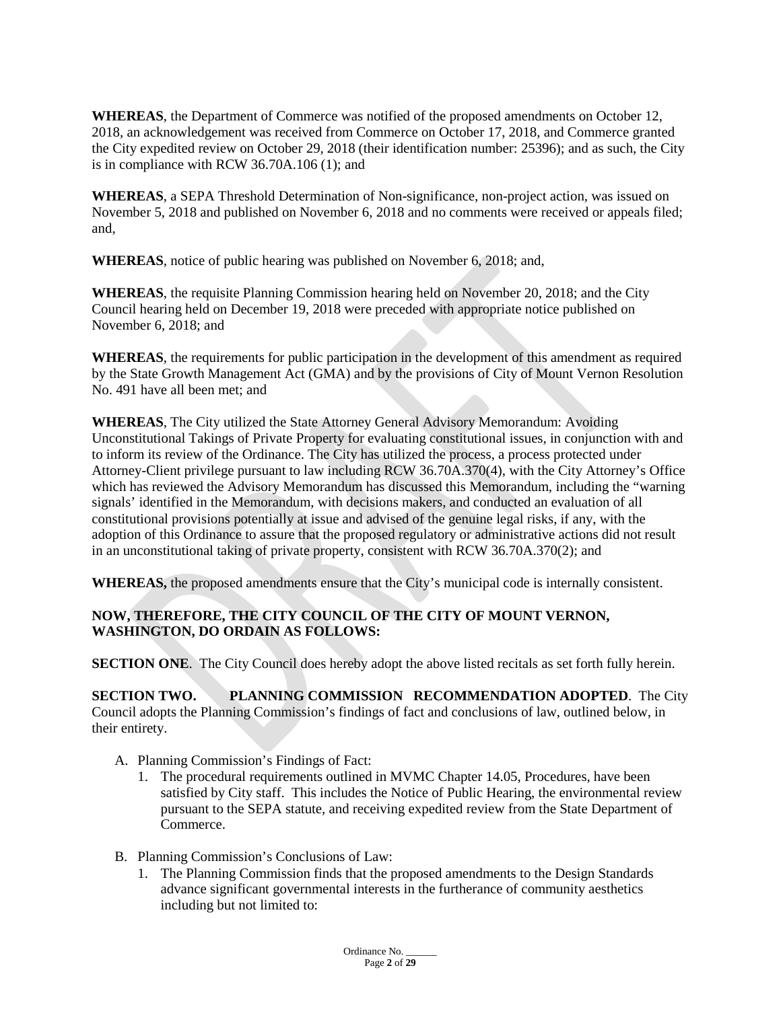**WHEREAS**, the Department of Commerce was notified of the proposed amendments on October 12, 2018, an acknowledgement was received from Commerce on October 17, 2018, and Commerce granted the City expedited review on October 29, 2018 (their identification number: 25396); and as such, the City is in compliance with RCW 36.70A.106 (1); and

**WHEREAS**, a SEPA Threshold Determination of Non-significance, non-project action, was issued on November 5, 2018 and published on November 6, 2018 and no comments were received or appeals filed; and,

**WHEREAS**, notice of public hearing was published on November 6, 2018; and,

**WHEREAS**, the requisite Planning Commission hearing held on November 20, 2018; and the City Council hearing held on December 19, 2018 were preceded with appropriate notice published on November 6, 2018; and

**WHEREAS**, the requirements for public participation in the development of this amendment as required by the State Growth Management Act (GMA) and by the provisions of City of Mount Vernon Resolution No. 491 have all been met; and

**WHEREAS**, The City utilized the State Attorney General Advisory Memorandum: Avoiding Unconstitutional Takings of Private Property for evaluating constitutional issues, in conjunction with and to inform its review of the Ordinance. The City has utilized the process, a process protected under Attorney-Client privilege pursuant to law including RCW 36.70A.370(4), with the City Attorney's Office which has reviewed the Advisory Memorandum has discussed this Memorandum, including the "warning signals' identified in the Memorandum, with decisions makers, and conducted an evaluation of all constitutional provisions potentially at issue and advised of the genuine legal risks, if any, with the adoption of this Ordinance to assure that the proposed regulatory or administrative actions did not result in an unconstitutional taking of private property, consistent with RCW 36.70A.370(2); and

**WHEREAS,** the proposed amendments ensure that the City's municipal code is internally consistent.

### **NOW, THEREFORE, THE CITY COUNCIL OF THE CITY OF MOUNT VERNON, WASHINGTON, DO ORDAIN AS FOLLOWS:**

**SECTION ONE**. The City Council does hereby adopt the above listed recitals as set forth fully herein.

**SECTION TWO. PLANNING COMMISSION RECOMMENDATION ADOPTED**. The City Council adopts the Planning Commission's findings of fact and conclusions of law, outlined below, in their entirety.

A. Planning Commission's Findings of Fact:

- 1. The procedural requirements outlined in MVMC Chapter 14.05, Procedures, have been satisfied by City staff. This includes the Notice of Public Hearing, the environmental review pursuant to the SEPA statute, and receiving expedited review from the State Department of Commerce.
- B. Planning Commission's Conclusions of Law:
	- 1. The Planning Commission finds that the proposed amendments to the Design Standards advance significant governmental interests in the furtherance of community aesthetics including but not limited to: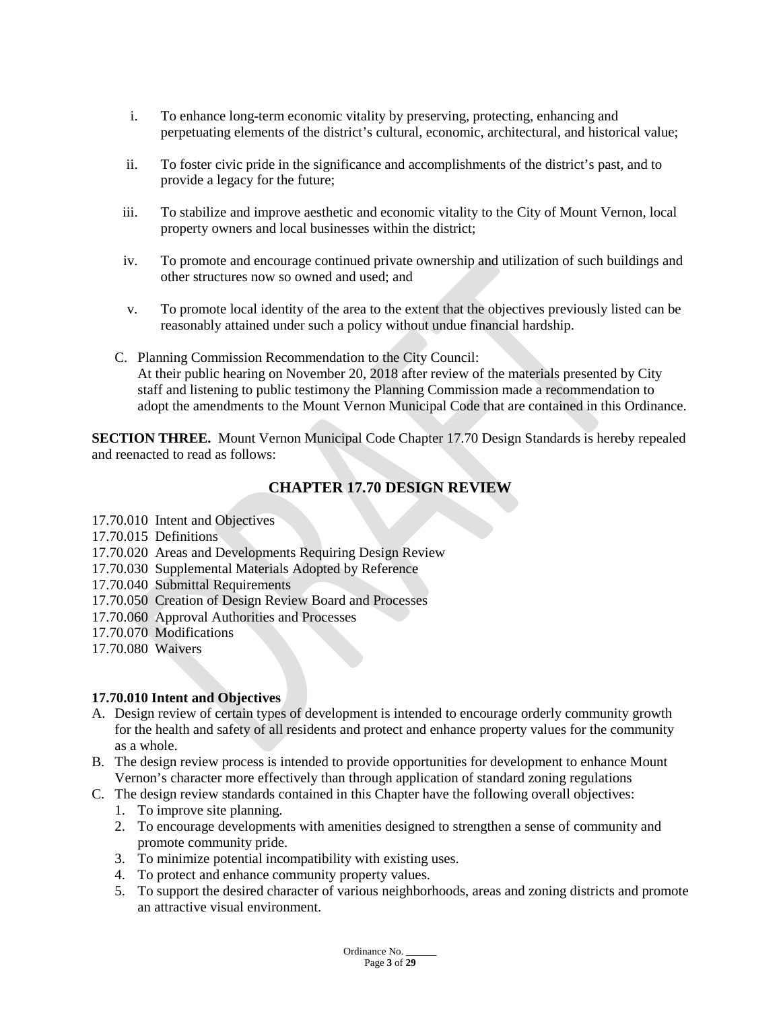- i. To enhance long-term economic vitality by preserving, protecting, enhancing and perpetuating elements of the district's cultural, economic, architectural, and historical value;
- ii. To foster civic pride in the significance and accomplishments of the district's past, and to provide a legacy for the future;
- iii. To stabilize and improve aesthetic and economic vitality to the City of Mount Vernon, local property owners and local businesses within the district;
- iv. To promote and encourage continued private ownership and utilization of such buildings and other structures now so owned and used; and
- v. To promote local identity of the area to the extent that the objectives previously listed can be reasonably attained under such a policy without undue financial hardship.
- C. Planning Commission Recommendation to the City Council: At their public hearing on November 20, 2018 after review of the materials presented by City staff and listening to public testimony the Planning Commission made a recommendation to adopt the amendments to the Mount Vernon Municipal Code that are contained in this Ordinance.

**SECTION THREE.** Mount Vernon Municipal Code Chapter 17.70 Design Standards is hereby repealed and reenacted to read as follows:

# **CHAPTER 17.70 DESIGN REVIEW**

- 17.70.010 Intent and Objectives
- 17.70.015 Definitions
- 17.70.020 Areas and Developments Requiring Design Review
- 17.70.030 Supplemental Materials Adopted by Reference
- 17.70.040 Submittal Requirements
- 17.70.050 Creation of Design Review Board and Processes
- 17.70.060 Approval Authorities and Processes
- 17.70.070 Modifications
- 17.70.080 Waivers

#### **17.70.010 Intent and Objectives**

- A. Design review of certain types of development is intended to encourage orderly community growth for the health and safety of all residents and protect and enhance property values for the community as a whole.
- B. The design review process is intended to provide opportunities for development to enhance Mount Vernon's character more effectively than through application of standard zoning regulations
- C. The design review standards contained in this Chapter have the following overall objectives:
	- 1. To improve site planning.
	- 2. To encourage developments with amenities designed to strengthen a sense of community and promote community pride.
	- 3. To minimize potential incompatibility with existing uses.
	- 4. To protect and enhance community property values.
	- 5. To support the desired character of various neighborhoods, areas and zoning districts and promote an attractive visual environment.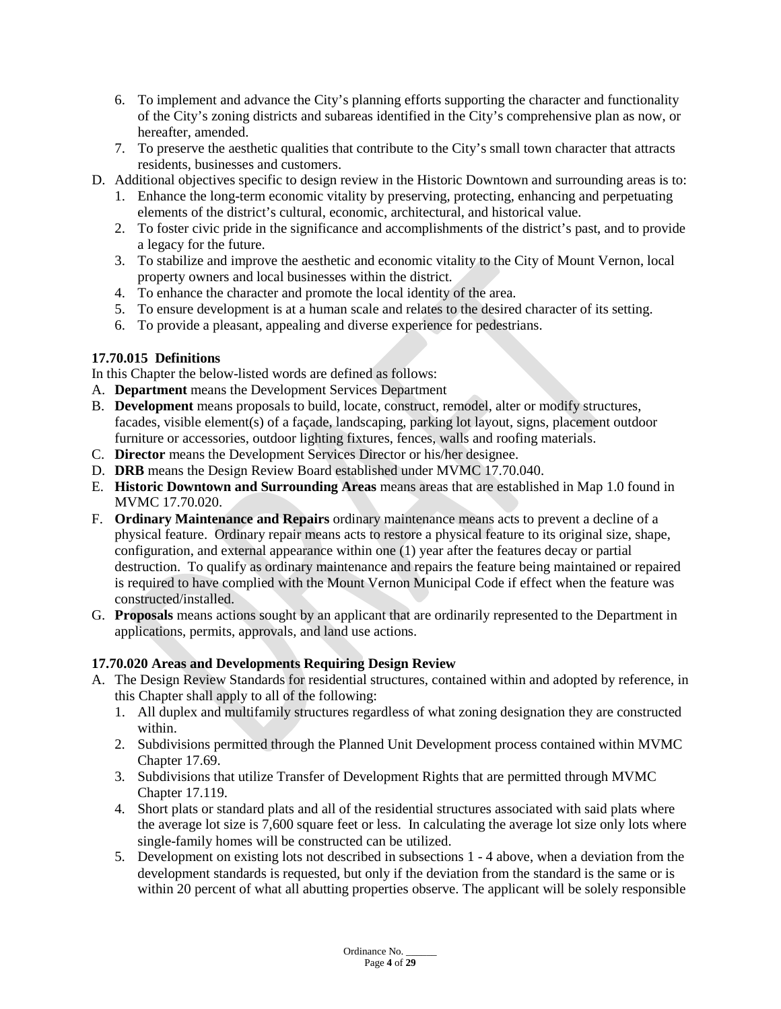- 6. To implement and advance the City's planning efforts supporting the character and functionality of the City's zoning districts and subareas identified in the City's comprehensive plan as now, or hereafter, amended.
- 7. To preserve the aesthetic qualities that contribute to the City's small town character that attracts residents, businesses and customers.
- D. Additional objectives specific to design review in the Historic Downtown and surrounding areas is to:
	- 1. Enhance the long-term economic vitality by preserving, protecting, enhancing and perpetuating elements of the district's cultural, economic, architectural, and historical value.
	- 2. To foster civic pride in the significance and accomplishments of the district's past, and to provide a legacy for the future.
	- 3. To stabilize and improve the aesthetic and economic vitality to the City of Mount Vernon, local property owners and local businesses within the district.
	- 4. To enhance the character and promote the local identity of the area.
	- 5. To ensure development is at a human scale and relates to the desired character of its setting.
	- 6. To provide a pleasant, appealing and diverse experience for pedestrians.

# **17.70.015 Definitions**

In this Chapter the below-listed words are defined as follows:

- A. **Department** means the Development Services Department
- B. **Development** means proposals to build, locate, construct, remodel, alter or modify structures, facades, visible element(s) of a façade, landscaping, parking lot layout, signs, placement outdoor furniture or accessories, outdoor lighting fixtures, fences, walls and roofing materials.
- C. **Director** means the Development Services Director or his/her designee.
- D. **DRB** means the Design Review Board established under MVMC 17.70.040.
- E. **Historic Downtown and Surrounding Areas** means areas that are established in Map 1.0 found in MVMC 17.70.020.
- F. **Ordinary Maintenance and Repairs** ordinary maintenance means acts to prevent a decline of a physical feature. Ordinary repair means acts to restore a physical feature to its original size, shape, configuration, and external appearance within one (1) year after the features decay or partial destruction. To qualify as ordinary maintenance and repairs the feature being maintained or repaired is required to have complied with the Mount Vernon Municipal Code if effect when the feature was constructed/installed.
- G. **Proposals** means actions sought by an applicant that are ordinarily represented to the Department in applications, permits, approvals, and land use actions.

# **17.70.020 Areas and Developments Requiring Design Review**

- A. The Design Review Standards for residential structures, contained within and adopted by reference, in this Chapter shall apply to all of the following:
	- 1. All duplex and multifamily structures regardless of what zoning designation they are constructed within.
	- 2. Subdivisions permitted through the Planned Unit Development process contained within MVMC Chapter 17.69.
	- 3. Subdivisions that utilize Transfer of Development Rights that are permitted through MVMC Chapter 17.119.
	- 4. Short plats or standard plats and all of the residential structures associated with said plats where the average lot size is 7,600 square feet or less. In calculating the average lot size only lots where single-family homes will be constructed can be utilized.
	- 5. Development on existing lots not described in subsections 1 4 above, when a deviation from the development standards is requested, but only if the deviation from the standard is the same or is within 20 percent of what all abutting properties observe. The applicant will be solely responsible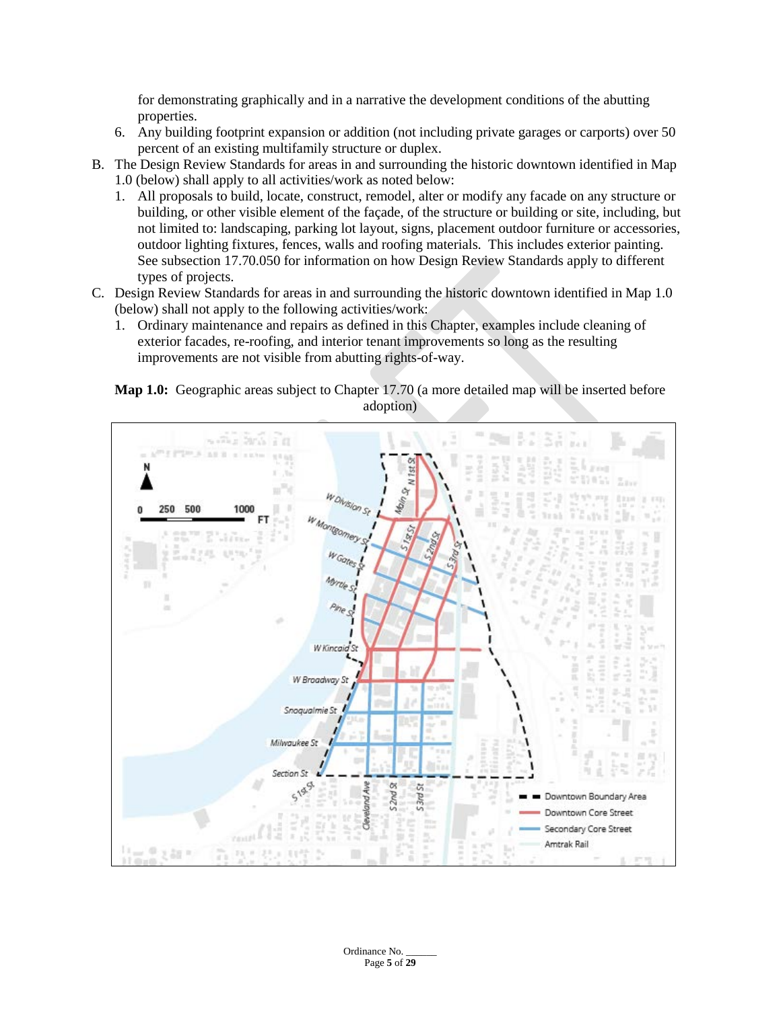for demonstrating graphically and in a narrative the development conditions of the abutting properties.

- 6. Any building footprint expansion or addition (not including private garages or carports) over 50 percent of an existing multifamily structure or duplex.
- B. The Design Review Standards for areas in and surrounding the historic downtown identified in Map 1.0 (below) shall apply to all activities/work as noted below:
	- 1. All proposals to build, locate, construct, remodel, alter or modify any facade on any structure or building, or other visible element of the façade, of the structure or building or site, including, but not limited to: landscaping, parking lot layout, signs, placement outdoor furniture or accessories, outdoor lighting fixtures, fences, walls and roofing materials. This includes exterior painting. See subsection 17.70.050 for information on how Design Review Standards apply to different types of projects.
- C. Design Review Standards for areas in and surrounding the historic downtown identified in Map 1.0 (below) shall not apply to the following activities/work:
	- 1. Ordinary maintenance and repairs as defined in this Chapter, examples include cleaning of exterior facades, re-roofing, and interior tenant improvements so long as the resulting improvements are not visible from abutting rights-of-way.

### **Map 1.0:** Geographic areas subject to Chapter 17.70 (a more detailed map will be inserted before adoption)



Ordinance No. Page **5** of **29**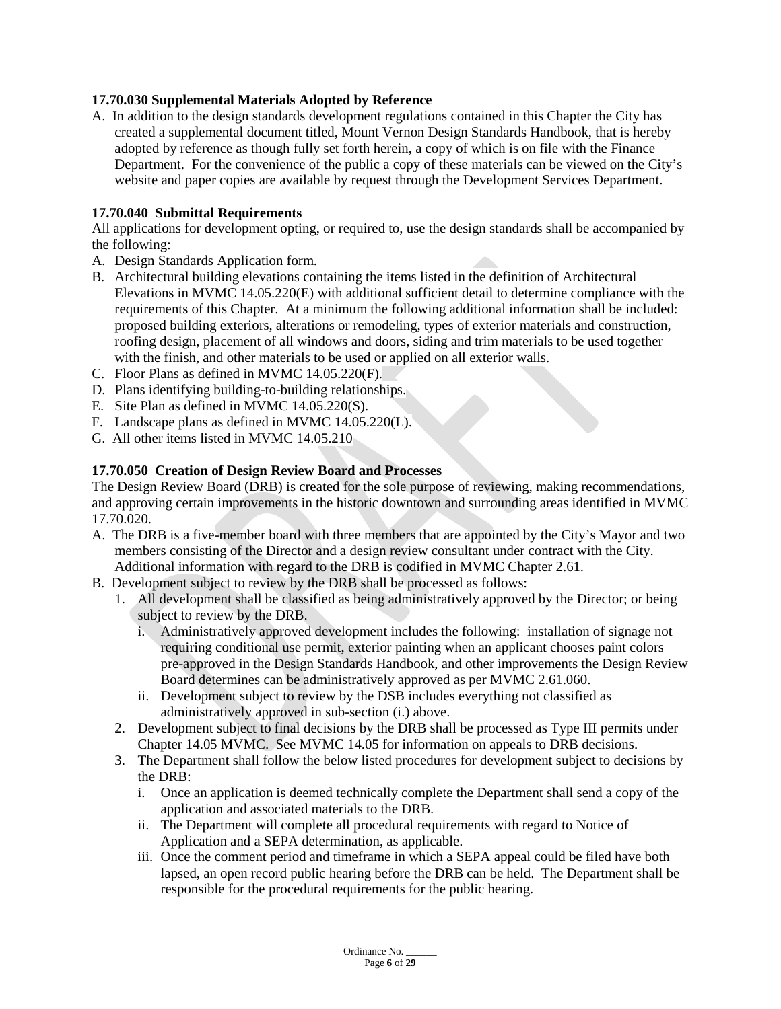### **17.70.030 Supplemental Materials Adopted by Reference**

A. In addition to the design standards development regulations contained in this Chapter the City has created a supplemental document titled, Mount Vernon Design Standards Handbook, that is hereby adopted by reference as though fully set forth herein, a copy of which is on file with the Finance Department. For the convenience of the public a copy of these materials can be viewed on the City's website and paper copies are available by request through the Development Services Department.

### **17.70.040 Submittal Requirements**

All applications for development opting, or required to, use the design standards shall be accompanied by the following:

- A. Design Standards Application form.
- B. Architectural building elevations containing the items listed in the definition of Architectural Elevations in MVMC 14.05.220(E) with additional sufficient detail to determine compliance with the requirements of this Chapter. At a minimum the following additional information shall be included: proposed building exteriors, alterations or remodeling, types of exterior materials and construction, roofing design, placement of all windows and doors, siding and trim materials to be used together with the finish, and other materials to be used or applied on all exterior walls.
- C. Floor Plans as defined in MVMC 14.05.220(F).
- D. Plans identifying building-to-building relationships.
- E. Site Plan as defined in MVMC 14.05.220(S).
- F. Landscape plans as defined in MVMC 14.05.220(L).
- G. All other items listed in MVMC 14.05.210

# **17.70.050 Creation of Design Review Board and Processes**

The Design Review Board (DRB) is created for the sole purpose of reviewing, making recommendations, and approving certain improvements in the historic downtown and surrounding areas identified in MVMC 17.70.020.

- A. The DRB is a five-member board with three members that are appointed by the City's Mayor and two members consisting of the Director and a design review consultant under contract with the City. Additional information with regard to the DRB is codified in MVMC Chapter 2.61.
- B. Development subject to review by the DRB shall be processed as follows:
	- 1. All development shall be classified as being administratively approved by the Director; or being subject to review by the DRB.
		- i. Administratively approved development includes the following: installation of signage not requiring conditional use permit, exterior painting when an applicant chooses paint colors pre-approved in the Design Standards Handbook, and other improvements the Design Review Board determines can be administratively approved as per MVMC 2.61.060.
		- ii. Development subject to review by the DSB includes everything not classified as administratively approved in sub-section (i.) above.
	- 2. Development subject to final decisions by the DRB shall be processed as Type III permits under Chapter 14.05 MVMC. See MVMC 14.05 for information on appeals to DRB decisions.
	- 3. The Department shall follow the below listed procedures for development subject to decisions by the DRB:
		- i. Once an application is deemed technically complete the Department shall send a copy of the application and associated materials to the DRB.
		- ii. The Department will complete all procedural requirements with regard to Notice of Application and a SEPA determination, as applicable.
		- iii. Once the comment period and timeframe in which a SEPA appeal could be filed have both lapsed, an open record public hearing before the DRB can be held. The Department shall be responsible for the procedural requirements for the public hearing.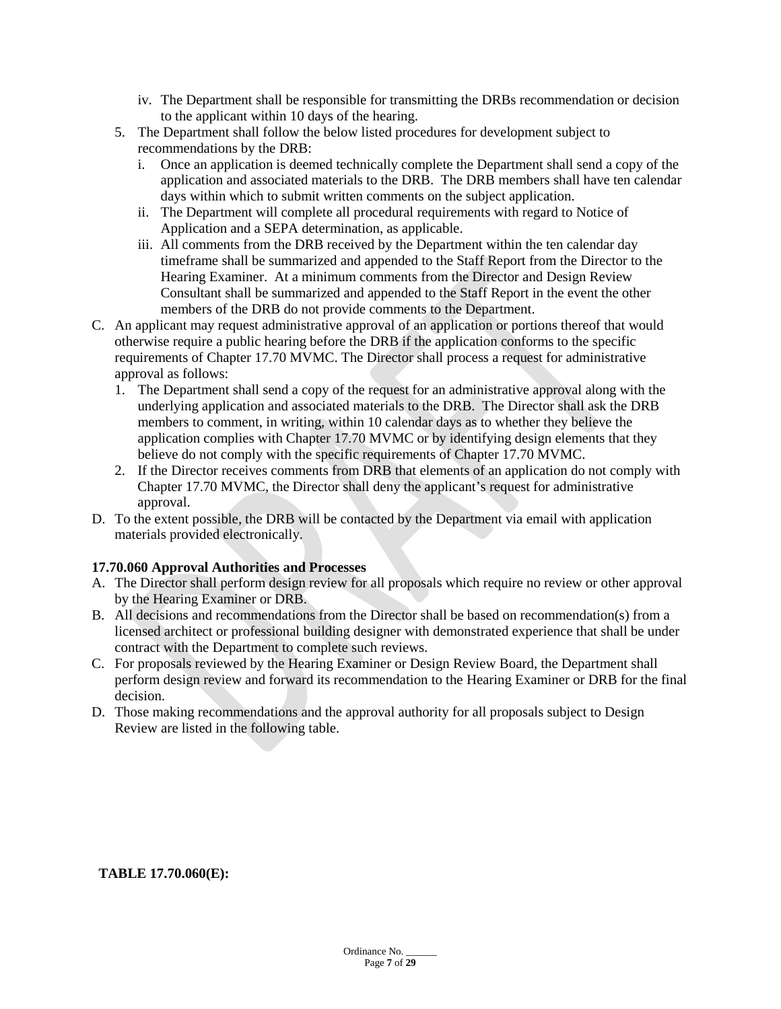- iv. The Department shall be responsible for transmitting the DRBs recommendation or decision to the applicant within 10 days of the hearing.
- 5. The Department shall follow the below listed procedures for development subject to recommendations by the DRB:
	- i. Once an application is deemed technically complete the Department shall send a copy of the application and associated materials to the DRB. The DRB members shall have ten calendar days within which to submit written comments on the subject application.
	- ii. The Department will complete all procedural requirements with regard to Notice of Application and a SEPA determination, as applicable.
	- iii. All comments from the DRB received by the Department within the ten calendar day timeframe shall be summarized and appended to the Staff Report from the Director to the Hearing Examiner. At a minimum comments from the Director and Design Review Consultant shall be summarized and appended to the Staff Report in the event the other members of the DRB do not provide comments to the Department.
- C. An applicant may request administrative approval of an application or portions thereof that would otherwise require a public hearing before the DRB if the application conforms to the specific requirements of Chapter 17.70 MVMC. The Director shall process a request for administrative approval as follows:
	- 1. The Department shall send a copy of the request for an administrative approval along with the underlying application and associated materials to the DRB. The Director shall ask the DRB members to comment, in writing, within 10 calendar days as to whether they believe the application complies with Chapter 17.70 MVMC or by identifying design elements that they believe do not comply with the specific requirements of Chapter 17.70 MVMC.
	- 2. If the Director receives comments from DRB that elements of an application do not comply with Chapter 17.70 MVMC, the Director shall deny the applicant's request for administrative approval.
- D. To the extent possible, the DRB will be contacted by the Department via email with application materials provided electronically.

### **17.70.060 Approval Authorities and Processes**

- A. The Director shall perform design review for all proposals which require no review or other approval by the Hearing Examiner or DRB.
- B. All decisions and recommendations from the Director shall be based on recommendation(s) from a licensed architect or professional building designer with demonstrated experience that shall be under contract with the Department to complete such reviews.
- C. For proposals reviewed by the Hearing Examiner or Design Review Board, the Department shall perform design review and forward its recommendation to the Hearing Examiner or DRB for the final decision.
- D. Those making recommendations and the approval authority for all proposals subject to Design Review are listed in the following table.

#### **TABLE 17.70.060(E):**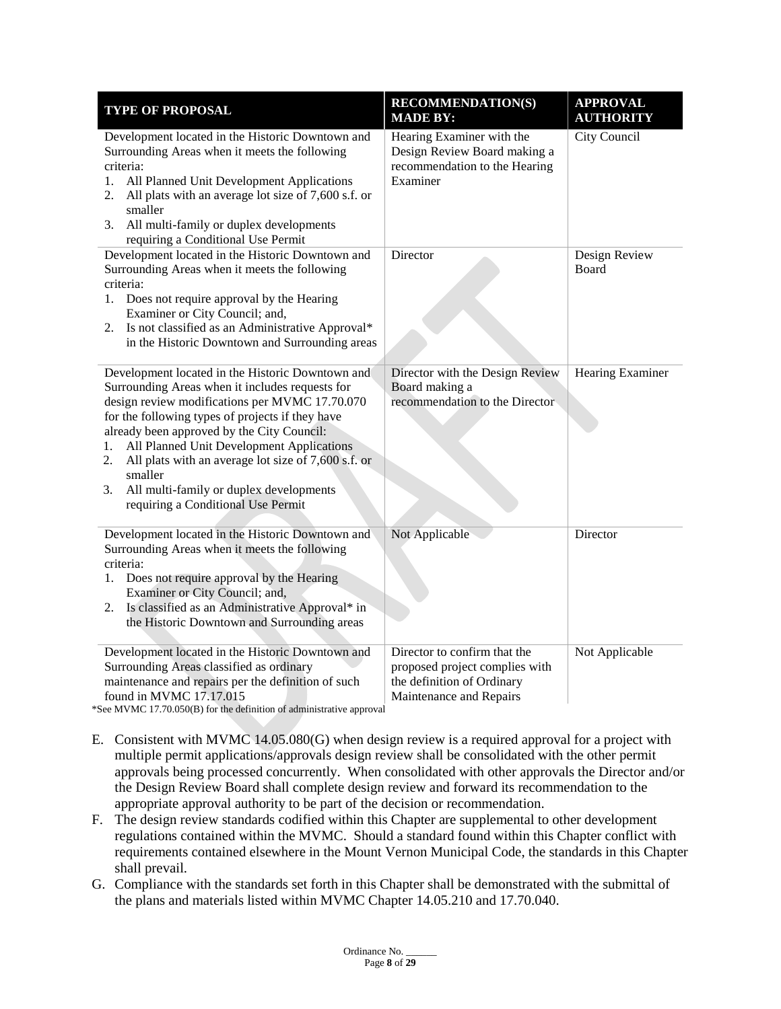| <b>TYPE OF PROPOSAL</b>                                                                                                                                                                                                                                                                                                                                                                                                                                                   | <b>RECOMMENDATION(S)</b><br><b>MADE BY:</b>                                                                             | <b>APPROVAL</b><br><b>AUTHORITY</b> |
|---------------------------------------------------------------------------------------------------------------------------------------------------------------------------------------------------------------------------------------------------------------------------------------------------------------------------------------------------------------------------------------------------------------------------------------------------------------------------|-------------------------------------------------------------------------------------------------------------------------|-------------------------------------|
| Development located in the Historic Downtown and<br>Surrounding Areas when it meets the following<br>criteria:<br>All Planned Unit Development Applications<br>1.<br>All plats with an average lot size of 7,600 s.f. or<br>2.<br>smaller<br>All multi-family or duplex developments<br>3.<br>requiring a Conditional Use Permit                                                                                                                                          | Hearing Examiner with the<br>Design Review Board making a<br>recommendation to the Hearing<br>Examiner                  | City Council                        |
| Development located in the Historic Downtown and<br>Surrounding Areas when it meets the following<br>criteria:<br>Does not require approval by the Hearing<br>1.<br>Examiner or City Council; and,<br>2. Is not classified as an Administrative Approval*<br>in the Historic Downtown and Surrounding areas                                                                                                                                                               | Director                                                                                                                | Design Review<br><b>Board</b>       |
| Development located in the Historic Downtown and<br>Surrounding Areas when it includes requests for<br>design review modifications per MVMC 17.70.070<br>for the following types of projects if they have<br>already been approved by the City Council:<br>All Planned Unit Development Applications<br>1.<br>All plats with an average lot size of 7,600 s.f. or<br>2.<br>smaller<br>All multi-family or duplex developments<br>3.<br>requiring a Conditional Use Permit | Director with the Design Review<br>Board making a<br>recommendation to the Director                                     | Hearing Examiner                    |
| Development located in the Historic Downtown and<br>Surrounding Areas when it meets the following<br>criteria:<br>Does not require approval by the Hearing<br>1.<br>Examiner or City Council; and,<br>Is classified as an Administrative Approval* in<br>2.<br>the Historic Downtown and Surrounding areas                                                                                                                                                                | Not Applicable                                                                                                          | Director                            |
| Development located in the Historic Downtown and<br>Surrounding Areas classified as ordinary<br>maintenance and repairs per the definition of such<br>found in MVMC 17.17.015                                                                                                                                                                                                                                                                                             | Director to confirm that the<br>proposed project complies with<br>the definition of Ordinary<br>Maintenance and Repairs | Not Applicable                      |

\*See MVMC 17.70.050(B) for the definition of administrative approval

- E. Consistent with MVMC 14.05.080(G) when design review is a required approval for a project with multiple permit applications/approvals design review shall be consolidated with the other permit approvals being processed concurrently. When consolidated with other approvals the Director and/or the Design Review Board shall complete design review and forward its recommendation to the appropriate approval authority to be part of the decision or recommendation.
- F. The design review standards codified within this Chapter are supplemental to other development regulations contained within the MVMC. Should a standard found within this Chapter conflict with requirements contained elsewhere in the Mount Vernon Municipal Code, the standards in this Chapter shall prevail.
- G. Compliance with the standards set forth in this Chapter shall be demonstrated with the submittal of the plans and materials listed within MVMC Chapter 14.05.210 and 17.70.040.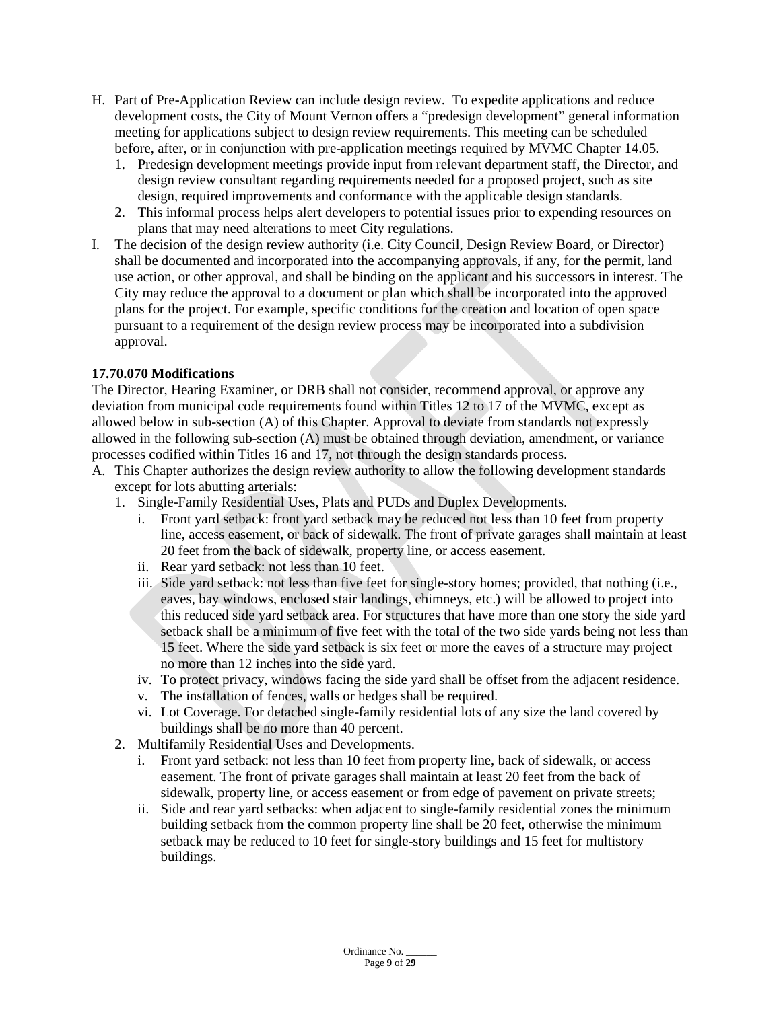- H. Part of Pre-Application Review can include design review. To expedite applications and reduce development costs, the City of Mount Vernon offers a "predesign development" general information meeting for applications subject to design review requirements. This meeting can be scheduled before, after, or in conjunction with pre-application meetings required by MVMC Chapter 14.05.
	- 1. Predesign development meetings provide input from relevant department staff, the Director, and design review consultant regarding requirements needed for a proposed project, such as site design, required improvements and conformance with the applicable design standards.
	- 2. This informal process helps alert developers to potential issues prior to expending resources on plans that may need alterations to meet City regulations.
- I. The decision of the design review authority (i.e. City Council, Design Review Board, or Director) shall be documented and incorporated into the accompanying approvals, if any, for the permit, land use action, or other approval, and shall be binding on the applicant and his successors in interest. The City may reduce the approval to a document or plan which shall be incorporated into the approved plans for the project. For example, specific conditions for the creation and location of open space pursuant to a requirement of the design review process may be incorporated into a subdivision approval.

### **17.70.070 Modifications**

The Director, Hearing Examiner, or DRB shall not consider, recommend approval, or approve any deviation from municipal code requirements found within Titles 12 to 17 of the MVMC, except as allowed below in sub-section (A) of this Chapter. Approval to deviate from standards not expressly allowed in the following sub-section (A) must be obtained through deviation, amendment, or variance processes codified within Titles 16 and 17, not through the design standards process.

- A. This Chapter authorizes the design review authority to allow the following development standards except for lots abutting arterials:
	- 1. Single-Family Residential Uses, Plats and PUDs and Duplex Developments.
		- i. Front yard setback: front yard setback may be reduced not less than 10 feet from property line, access easement, or back of sidewalk. The front of private garages shall maintain at least 20 feet from the back of sidewalk, property line, or access easement.
		- ii. Rear yard setback: not less than 10 feet.
		- iii. Side yard setback: not less than five feet for single-story homes; provided, that nothing (i.e., eaves, bay windows, enclosed stair landings, chimneys, etc.) will be allowed to project into this reduced side yard setback area. For structures that have more than one story the side yard setback shall be a minimum of five feet with the total of the two side yards being not less than 15 feet. Where the side yard setback is six feet or more the eaves of a structure may project no more than 12 inches into the side yard.
		- iv. To protect privacy, windows facing the side yard shall be offset from the adjacent residence.
		- v. The installation of fences, walls or hedges shall be required.
		- vi. Lot Coverage. For detached single-family residential lots of any size the land covered by buildings shall be no more than 40 percent.
	- 2. Multifamily Residential Uses and Developments.
		- i. Front yard setback: not less than 10 feet from property line, back of sidewalk, or access easement. The front of private garages shall maintain at least 20 feet from the back of sidewalk, property line, or access easement or from edge of pavement on private streets;
		- ii. Side and rear yard setbacks: when adjacent to single-family residential zones the minimum building setback from the common property line shall be 20 feet, otherwise the minimum setback may be reduced to 10 feet for single-story buildings and 15 feet for multistory buildings.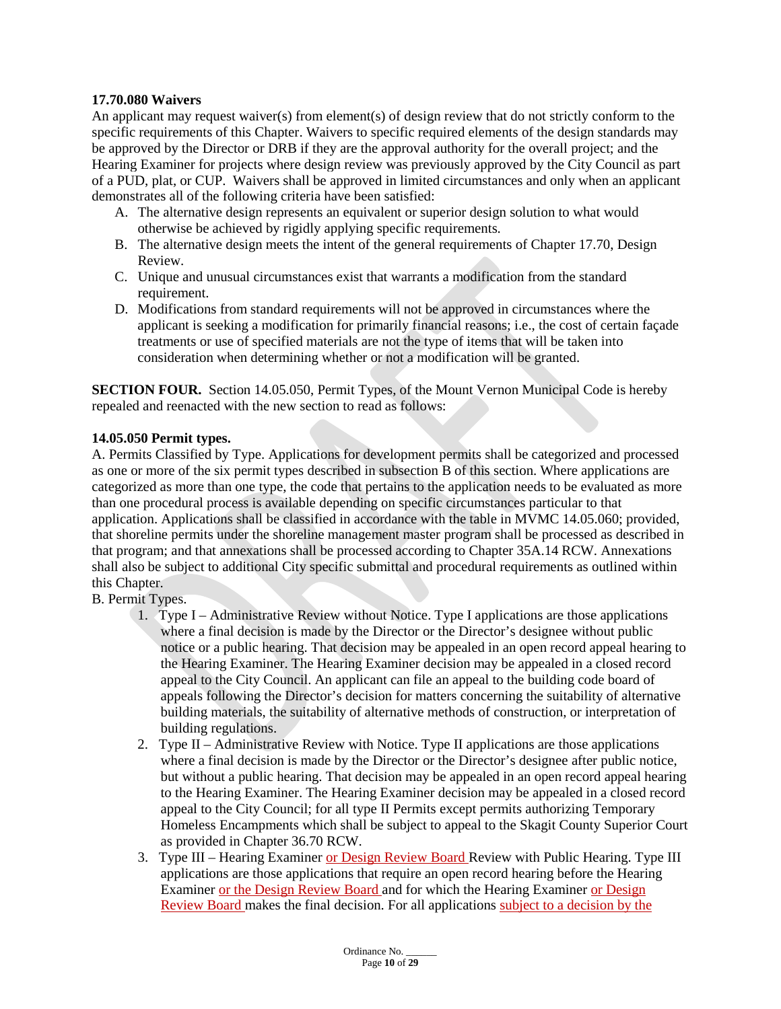### **17.70.080 Waivers**

An applicant may request waiver(s) from element(s) of design review that do not strictly conform to the specific requirements of this Chapter. Waivers to specific required elements of the design standards may be approved by the Director or DRB if they are the approval authority for the overall project; and the Hearing Examiner for projects where design review was previously approved by the City Council as part of a PUD, plat, or CUP. Waivers shall be approved in limited circumstances and only when an applicant demonstrates all of the following criteria have been satisfied:

- A. The alternative design represents an equivalent or superior design solution to what would otherwise be achieved by rigidly applying specific requirements.
- B. The alternative design meets the intent of the general requirements of Chapter 17.70, Design Review.
- C. Unique and unusual circumstances exist that warrants a modification from the standard requirement.
- D. Modifications from standard requirements will not be approved in circumstances where the applicant is seeking a modification for primarily financial reasons; i.e., the cost of certain façade treatments or use of specified materials are not the type of items that will be taken into consideration when determining whether or not a modification will be granted.

**SECTION FOUR.** Section 14.05.050, Permit Types, of the Mount Vernon Municipal Code is hereby repealed and reenacted with the new section to read as follows:

### **14.05.050 Permit types.**

A. Permits Classified by Type. Applications for development permits shall be categorized and processed as one or more of the six permit types described in subsection B of this section. Where applications are categorized as more than one type, the code that pertains to the application needs to be evaluated as more than one procedural process is available depending on specific circumstances particular to that application. Applications shall be classified in accordance with the table in MVMC 14.05.060; provided, that shoreline permits under the shoreline management master program shall be processed as described in that program; and that annexations shall be processed according to Chapter 35A.14 RCW. Annexations shall also be subject to additional City specific submittal and procedural requirements as outlined within this Chapter.

- B. Permit Types.
	- 1. Type I Administrative Review without Notice. Type I applications are those applications where a final decision is made by the Director or the Director's designee without public notice or a public hearing. That decision may be appealed in an open record appeal hearing to the Hearing Examiner. The Hearing Examiner decision may be appealed in a closed record appeal to the City Council. An applicant can file an appeal to the building code board of appeals following the Director's decision for matters concerning the suitability of alternative building materials, the suitability of alternative methods of construction, or interpretation of building regulations.
	- 2. Type II Administrative Review with Notice. Type II applications are those applications where a final decision is made by the Director or the Director's designee after public notice, but without a public hearing. That decision may be appealed in an open record appeal hearing to the Hearing Examiner. The Hearing Examiner decision may be appealed in a closed record appeal to the City Council; for all type II Permits except permits authorizing Temporary Homeless Encampments which shall be subject to appeal to the Skagit County Superior Court as provided in Chapter 36.70 RCW.
	- 3. Type III Hearing Examiner or Design Review Board Review with Public Hearing. Type III applications are those applications that require an open record hearing before the Hearing Examiner or the Design Review Board and for which the Hearing Examiner or Design Review Board makes the final decision. For all applications subject to a decision by the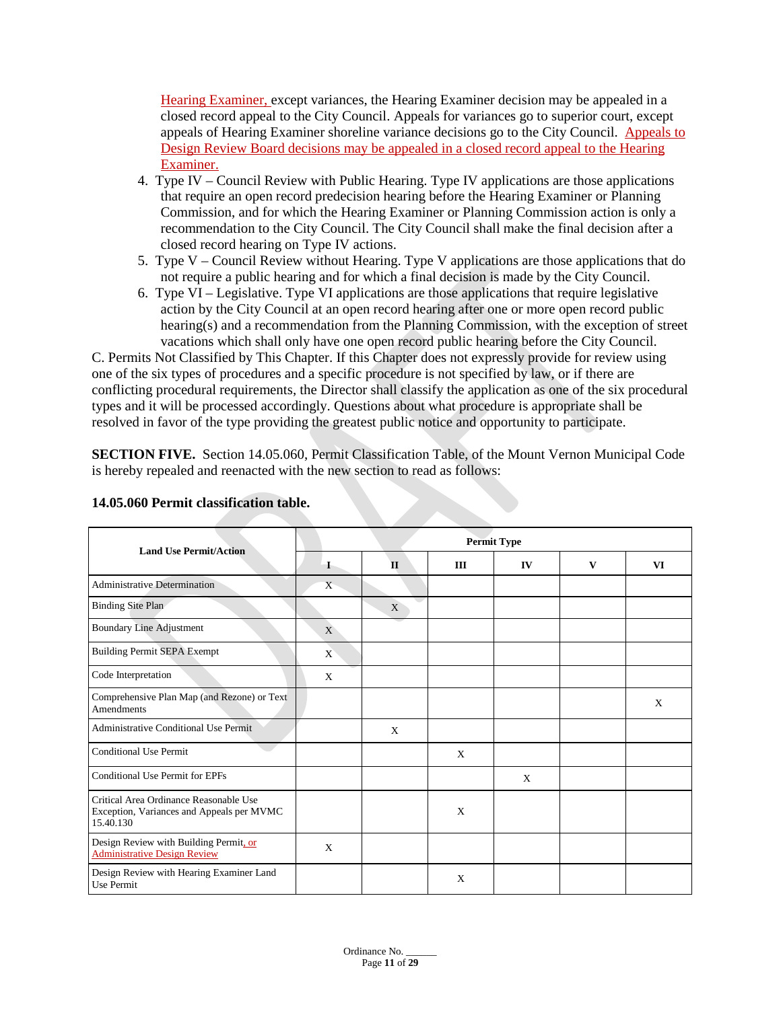Hearing Examiner, except variances, the Hearing Examiner decision may be appealed in a closed record appeal to the City Council. Appeals for variances go to superior court, except appeals of Hearing Examiner shoreline variance decisions go to the City Council. Appeals to Design Review Board decisions may be appealed in a closed record appeal to the Hearing Examiner.

- 4. Type IV Council Review with Public Hearing. Type IV applications are those applications that require an open record predecision hearing before the Hearing Examiner or Planning Commission, and for which the Hearing Examiner or Planning Commission action is only a recommendation to the City Council. The City Council shall make the final decision after a closed record hearing on Type IV actions.
- 5. Type V Council Review without Hearing. Type V applications are those applications that do not require a public hearing and for which a final decision is made by the City Council.
- 6. Type VI Legislative. Type VI applications are those applications that require legislative action by the City Council at an open record hearing after one or more open record public hearing(s) and a recommendation from the Planning Commission, with the exception of street vacations which shall only have one open record public hearing before the City Council.

C. Permits Not Classified by This Chapter. If this Chapter does not expressly provide for review using one of the six types of procedures and a specific procedure is not specified by law, or if there are conflicting procedural requirements, the Director shall classify the application as one of the six procedural types and it will be processed accordingly. Questions about what procedure is appropriate shall be resolved in favor of the type providing the greatest public notice and opportunity to participate.

**SECTION FIVE.** Section 14.05.060, Permit Classification Table, of the Mount Vernon Municipal Code is hereby repealed and reenacted with the new section to read as follows:

| <b>Land Use Permit/Action</b>                                                                    | <b>Permit Type</b> |       |     |    |   |    |  |  |  |  |
|--------------------------------------------------------------------------------------------------|--------------------|-------|-----|----|---|----|--|--|--|--|
|                                                                                                  | $\mathbf{I}$       | $\Pi$ | III | IV | V | VI |  |  |  |  |
| <b>Administrative Determination</b>                                                              | X                  |       |     |    |   |    |  |  |  |  |
| Binding Site Plan                                                                                |                    | X     |     |    |   |    |  |  |  |  |
| <b>Boundary Line Adjustment</b>                                                                  | $\mathbf{X}$       |       |     |    |   |    |  |  |  |  |
| <b>Building Permit SEPA Exempt</b>                                                               | X                  |       |     |    |   |    |  |  |  |  |
| Code Interpretation                                                                              | X                  |       |     |    |   |    |  |  |  |  |
| Comprehensive Plan Map (and Rezone) or Text<br>Amendments                                        |                    |       |     |    |   | X  |  |  |  |  |
| <b>Administrative Conditional Use Permit</b>                                                     |                    | X     |     |    |   |    |  |  |  |  |
| <b>Conditional Use Permit</b>                                                                    |                    |       | X   |    |   |    |  |  |  |  |
| <b>Conditional Use Permit for EPFs</b>                                                           |                    |       |     | X  |   |    |  |  |  |  |
| Critical Area Ordinance Reasonable Use<br>Exception, Variances and Appeals per MVMC<br>15.40.130 |                    |       | X   |    |   |    |  |  |  |  |
| Design Review with Building Permit, or<br><b>Administrative Design Review</b>                    | X                  |       |     |    |   |    |  |  |  |  |
| Design Review with Hearing Examiner Land<br>Use Permit                                           |                    |       | X   |    |   |    |  |  |  |  |

### **14.05.060 Permit classification table.**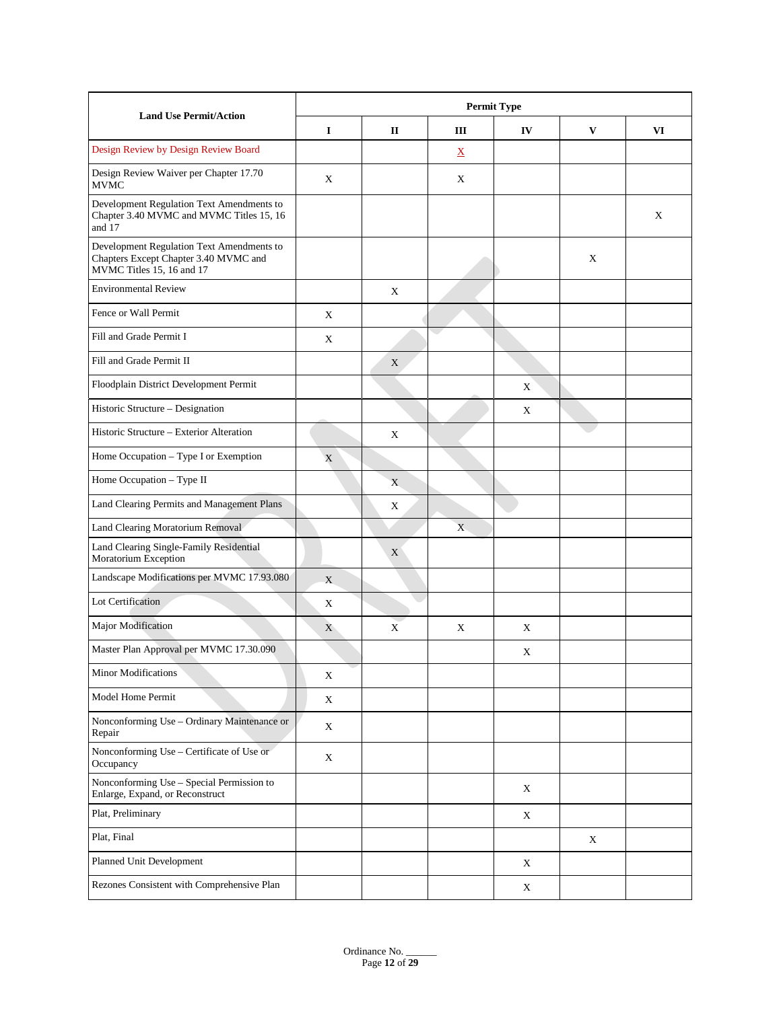| <b>Land Use Permit/Action</b>                                                                                   | <b>Permit Type</b>     |   |                          |             |   |   |  |  |  |
|-----------------------------------------------------------------------------------------------------------------|------------------------|---|--------------------------|-------------|---|---|--|--|--|
|                                                                                                                 | 1<br>Ш<br>IV<br>V<br>п |   |                          |             |   |   |  |  |  |
| Design Review by Design Review Board                                                                            |                        |   | $\underline{\mathbf{X}}$ |             |   |   |  |  |  |
| Design Review Waiver per Chapter 17.70<br><b>MVMC</b>                                                           | X                      |   | X                        |             |   |   |  |  |  |
| Development Regulation Text Amendments to<br>Chapter 3.40 MVMC and MVMC Titles 15, 16<br>and 17                 |                        |   |                          |             |   | X |  |  |  |
| Development Regulation Text Amendments to<br>Chapters Except Chapter 3.40 MVMC and<br>MVMC Titles 15, 16 and 17 |                        |   |                          |             | X |   |  |  |  |
| <b>Environmental Review</b>                                                                                     |                        | X |                          |             |   |   |  |  |  |
| Fence or Wall Permit                                                                                            | X                      |   |                          |             |   |   |  |  |  |
| Fill and Grade Permit I                                                                                         | X                      |   |                          |             |   |   |  |  |  |
| Fill and Grade Permit II                                                                                        |                        | X |                          |             |   |   |  |  |  |
| Floodplain District Development Permit                                                                          |                        |   |                          | X           |   |   |  |  |  |
| Historic Structure - Designation                                                                                |                        |   |                          | X           |   |   |  |  |  |
| Historic Structure – Exterior Alteration                                                                        |                        | X |                          |             |   |   |  |  |  |
| Home Occupation - Type I or Exemption                                                                           | $\mathbf X$            |   |                          |             |   |   |  |  |  |
| Home Occupation - Type II                                                                                       |                        | X |                          |             |   |   |  |  |  |
| Land Clearing Permits and Management Plans                                                                      |                        | X |                          |             |   |   |  |  |  |
| Land Clearing Moratorium Removal                                                                                |                        |   | X                        |             |   |   |  |  |  |
| Land Clearing Single-Family Residential<br>Moratorium Exception                                                 |                        | X |                          |             |   |   |  |  |  |
| Landscape Modifications per MVMC 17.93.080                                                                      | X                      |   |                          |             |   |   |  |  |  |
| Lot Certification                                                                                               | X                      |   |                          |             |   |   |  |  |  |
| Major Modification                                                                                              | X                      | X | X                        | X           |   |   |  |  |  |
| Master Plan Approval per MVMC 17.30.090                                                                         |                        |   |                          | X           |   |   |  |  |  |
| Minor Modifications                                                                                             | X                      |   |                          |             |   |   |  |  |  |
| Model Home Permit                                                                                               | X                      |   |                          |             |   |   |  |  |  |
| Nonconforming Use - Ordinary Maintenance or<br>Repair                                                           | X                      |   |                          |             |   |   |  |  |  |
| Nonconforming Use - Certificate of Use or<br>Occupancy                                                          | $\mathbf X$            |   |                          |             |   |   |  |  |  |
| Nonconforming Use - Special Permission to<br>Enlarge, Expand, or Reconstruct                                    |                        |   |                          | X           |   |   |  |  |  |
| Plat, Preliminary                                                                                               |                        |   |                          | $\mathbf X$ |   |   |  |  |  |
| Plat, Final                                                                                                     |                        |   |                          |             | X |   |  |  |  |
| Planned Unit Development                                                                                        |                        |   |                          | X           |   |   |  |  |  |
| Rezones Consistent with Comprehensive Plan                                                                      |                        |   |                          | $\mathbf X$ |   |   |  |  |  |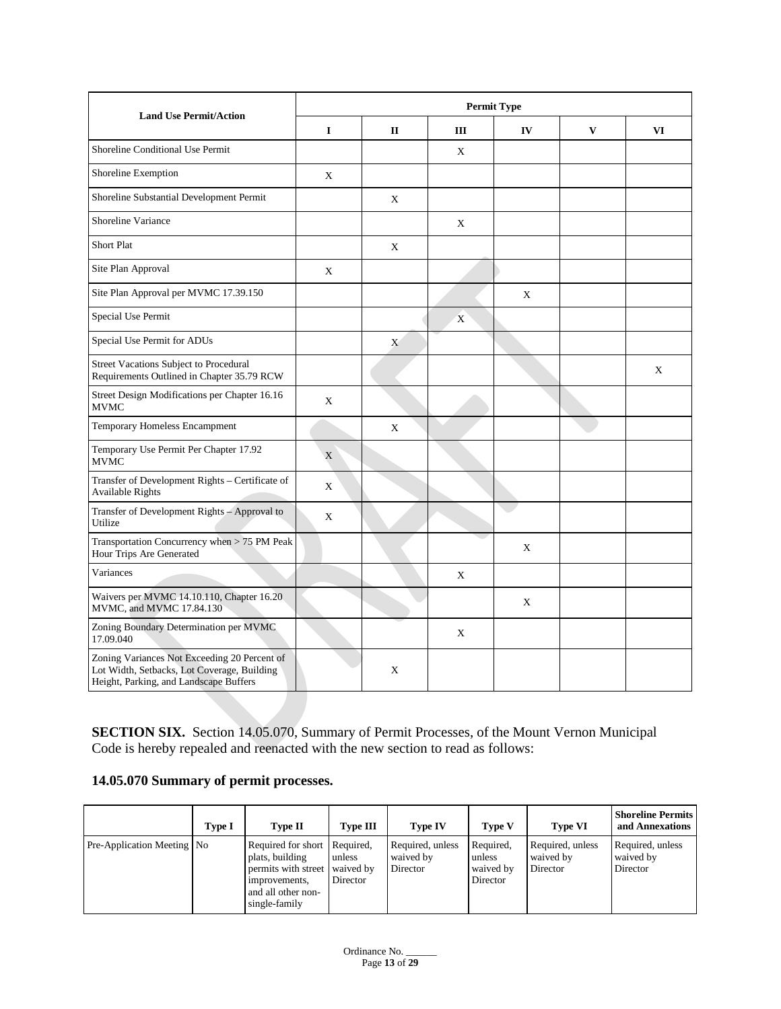| <b>Land Use Permit/Action</b>                                                                                                         | <b>Permit Type</b> |       |   |    |              |    |  |  |  |
|---------------------------------------------------------------------------------------------------------------------------------------|--------------------|-------|---|----|--------------|----|--|--|--|
|                                                                                                                                       | $\mathbf I$        | $\Pi$ | Ш | IV | $\mathbf{V}$ | VI |  |  |  |
| Shoreline Conditional Use Permit                                                                                                      |                    |       | X |    |              |    |  |  |  |
| Shoreline Exemption                                                                                                                   | X                  |       |   |    |              |    |  |  |  |
| Shoreline Substantial Development Permit                                                                                              |                    | X     |   |    |              |    |  |  |  |
| Shoreline Variance                                                                                                                    |                    |       | X |    |              |    |  |  |  |
| <b>Short Plat</b>                                                                                                                     |                    | X     |   |    |              |    |  |  |  |
| Site Plan Approval                                                                                                                    | X                  |       |   |    |              |    |  |  |  |
| Site Plan Approval per MVMC 17.39.150                                                                                                 |                    |       |   | X  |              |    |  |  |  |
| Special Use Permit                                                                                                                    |                    |       | X |    |              |    |  |  |  |
| Special Use Permit for ADUs                                                                                                           |                    | X     |   |    |              |    |  |  |  |
| Street Vacations Subject to Procedural<br>Requirements Outlined in Chapter 35.79 RCW                                                  |                    |       |   |    |              | X  |  |  |  |
| Street Design Modifications per Chapter 16.16<br><b>MVMC</b>                                                                          | X                  |       |   |    |              |    |  |  |  |
| Temporary Homeless Encampment                                                                                                         |                    | X     |   |    |              |    |  |  |  |
| Temporary Use Permit Per Chapter 17.92<br><b>MVMC</b>                                                                                 | X                  |       |   |    |              |    |  |  |  |
| Transfer of Development Rights - Certificate of<br><b>Available Rights</b>                                                            | X                  |       |   |    |              |    |  |  |  |
| Transfer of Development Rights - Approval to<br>Utilize                                                                               | X                  |       |   |    |              |    |  |  |  |
| Transportation Concurrency when > 75 PM Peak<br>Hour Trips Are Generated                                                              |                    |       |   | X  |              |    |  |  |  |
| Variances                                                                                                                             |                    |       | X |    |              |    |  |  |  |
| Waivers per MVMC 14.10.110, Chapter 16.20<br>MVMC, and MVMC 17.84.130                                                                 |                    |       |   | X  |              |    |  |  |  |
| Zoning Boundary Determination per MVMC<br>17.09.040                                                                                   |                    |       | X |    |              |    |  |  |  |
| Zoning Variances Not Exceeding 20 Percent of<br>Lot Width, Setbacks, Lot Coverage, Building<br>Height, Parking, and Landscape Buffers |                    | X     |   |    |              |    |  |  |  |

**SECTION SIX.** Section 14.05.070, Summary of Permit Processes, of the Mount Vernon Municipal Code is hereby repealed and reenacted with the new section to read as follows:

# **14.05.070 Summary of permit processes.**

|                                   | Type I | <b>Type II</b>                                                                                                                 | <b>Type III</b>                 | <b>Type IV</b>                            | Type V                                       | <b>Type VI</b>                            | <b>Shoreline Permits</b><br>and Annexations |
|-----------------------------------|--------|--------------------------------------------------------------------------------------------------------------------------------|---------------------------------|-------------------------------------------|----------------------------------------------|-------------------------------------------|---------------------------------------------|
| <b>Pre-Application Meeting No</b> |        | Required for short Required,<br>plats, building<br>permits with street<br>improvements,<br>and all other non-<br>single-family | unless<br>waived by<br>Director | Required, unless<br>waived by<br>Director | Required.<br>unless<br>waived by<br>Director | Required, unless<br>waived by<br>Director | Required, unless<br>waived by<br>Director   |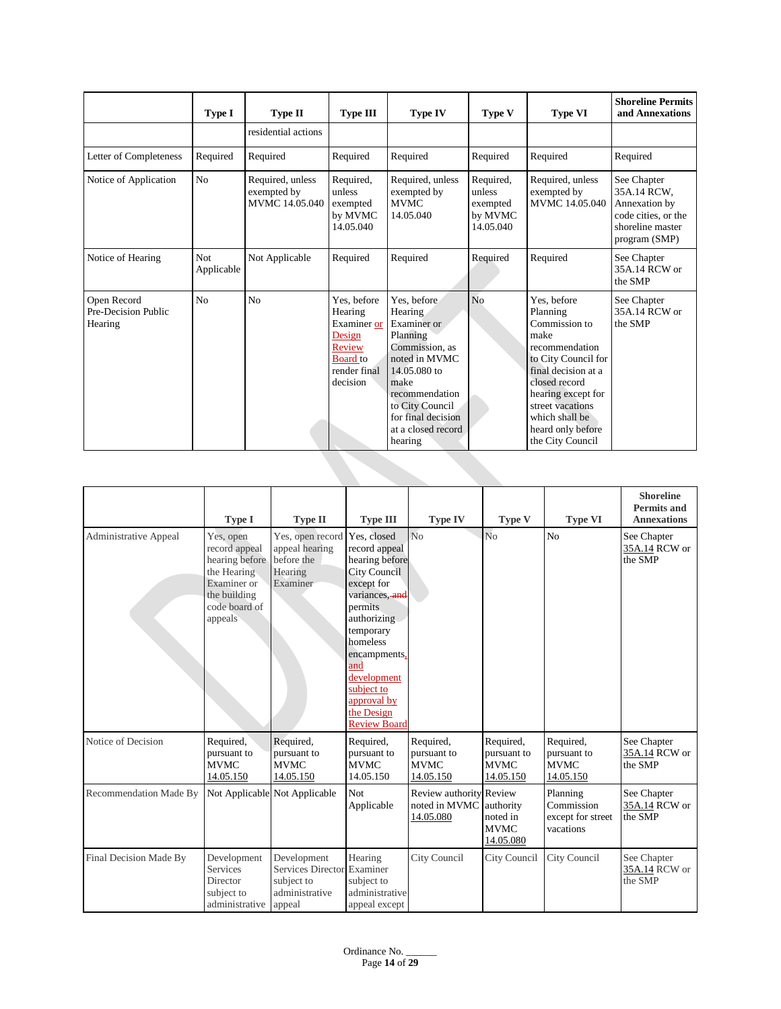|                                               | Type I                   | Type II                                           | <b>Type III</b>                                                                                          | <b>Type IV</b>                                                                                                                                                                                           | Type V                                                  | <b>Type VI</b>                                                                                                                                                                                                                         | <b>Shoreline Permits</b><br>and Annexations                                                             |
|-----------------------------------------------|--------------------------|---------------------------------------------------|----------------------------------------------------------------------------------------------------------|----------------------------------------------------------------------------------------------------------------------------------------------------------------------------------------------------------|---------------------------------------------------------|----------------------------------------------------------------------------------------------------------------------------------------------------------------------------------------------------------------------------------------|---------------------------------------------------------------------------------------------------------|
|                                               |                          | residential actions                               |                                                                                                          |                                                                                                                                                                                                          |                                                         |                                                                                                                                                                                                                                        |                                                                                                         |
| Letter of Completeness                        | Required                 | Required                                          | Required                                                                                                 | Required                                                                                                                                                                                                 | Required                                                | Required                                                                                                                                                                                                                               | Required                                                                                                |
| Notice of Application                         | N <sub>o</sub>           | Required, unless<br>exempted by<br>MVMC 14.05.040 | Required,<br>unless<br>exempted<br>by MVMC<br>14.05.040                                                  | Required, unless<br>exempted by<br><b>MVMC</b><br>14.05.040                                                                                                                                              | Required,<br>unless<br>exempted<br>by MVMC<br>14.05.040 | Required, unless<br>exempted by<br>MVMC 14.05.040                                                                                                                                                                                      | See Chapter<br>35A.14 RCW,<br>Annexation by<br>code cities, or the<br>shoreline master<br>program (SMP) |
| Notice of Hearing                             | <b>Not</b><br>Applicable | Not Applicable                                    | Required                                                                                                 | Required                                                                                                                                                                                                 | Required                                                | Required                                                                                                                                                                                                                               | See Chapter<br>35A.14 RCW or<br>the SMP                                                                 |
| Open Record<br>Pre-Decision Public<br>Hearing | N <sub>0</sub>           | No                                                | Yes, before<br>Hearing<br>Examiner or<br>Design<br>Review<br><b>Board</b> to<br>render final<br>decision | Yes, before<br>Hearing<br>Examiner or<br>Planning<br>Commission, as<br>noted in MVMC<br>14.05.080 to<br>make<br>recommendation<br>to City Council<br>for final decision<br>at a closed record<br>hearing | N <sub>o</sub>                                          | Yes, before<br>Planning<br>Commission to<br>make<br>recommendation<br>to City Council for<br>final decision at a<br>closed record<br>hearing except for<br>street vacations<br>which shall be<br>heard only before<br>the City Council | See Chapter<br>35A.14 RCW or<br>the SMP                                                                 |

|                              | <b>Type I</b>                                                                                                          | <b>Type II</b>                                                                      | <b>Type III</b>                                                                                                                                                                                                                                                  | <b>Type IV</b>                                        | Type V                                               | <b>Type VI</b>                                           | <b>Shoreline</b><br><b>Permits and</b><br><b>Annexations</b> |
|------------------------------|------------------------------------------------------------------------------------------------------------------------|-------------------------------------------------------------------------------------|------------------------------------------------------------------------------------------------------------------------------------------------------------------------------------------------------------------------------------------------------------------|-------------------------------------------------------|------------------------------------------------------|----------------------------------------------------------|--------------------------------------------------------------|
| <b>Administrative Appeal</b> | Yes, open<br>record appeal<br>hearing before<br>the Hearing<br>Examiner or<br>the building<br>code board of<br>appeals | Yes, open record<br>appeal hearing<br>before the<br>Hearing<br>Examiner             | Yes, closed<br>record appeal<br>hearing before<br><b>City Council</b><br>except for<br>variances, and<br>permits<br>authorizing<br>temporary<br>homeless<br>encampments,<br>and<br>development<br>subject to<br>approval by<br>the Design<br><b>Review Board</b> | No                                                    | N <sub>o</sub>                                       | N <sub>0</sub>                                           | See Chapter<br>35A.14 RCW or<br>the SMP                      |
| Notice of Decision           | Required,<br>pursuant to<br><b>MVMC</b><br>14.05.150                                                                   | Required,<br>pursuant to<br><b>MVMC</b><br>14.05.150                                | Required,<br>pursuant to<br><b>MVMC</b><br>14.05.150                                                                                                                                                                                                             | Required,<br>pursuant to<br><b>MVMC</b><br>14.05.150  | Required,<br>pursuant to<br><b>MVMC</b><br>14.05.150 | Required,<br>pursuant to<br><b>MVMC</b><br>14.05.150     | See Chapter<br>35A.14 RCW or<br>the SMP                      |
| Recommendation Made By       |                                                                                                                        | Not Applicable Not Applicable                                                       | Not<br>Applicable                                                                                                                                                                                                                                                | Review authority Review<br>noted in MVMC<br>14.05.080 | authority<br>noted in<br><b>MVMC</b><br>14.05.080    | Planning<br>Commission<br>except for street<br>vacations | See Chapter<br>35A.14 RCW or<br>the SMP                      |
| Final Decision Made By       | Development<br><b>Services</b><br>Director<br>subject to<br>administrative                                             | Development<br>Services Director Examiner<br>subject to<br>administrative<br>appeal | Hearing<br>subject to<br>administrative<br>appeal except                                                                                                                                                                                                         | City Council                                          | City Council                                         | City Council                                             | See Chapter<br>35A.14 RCW or<br>the SMP                      |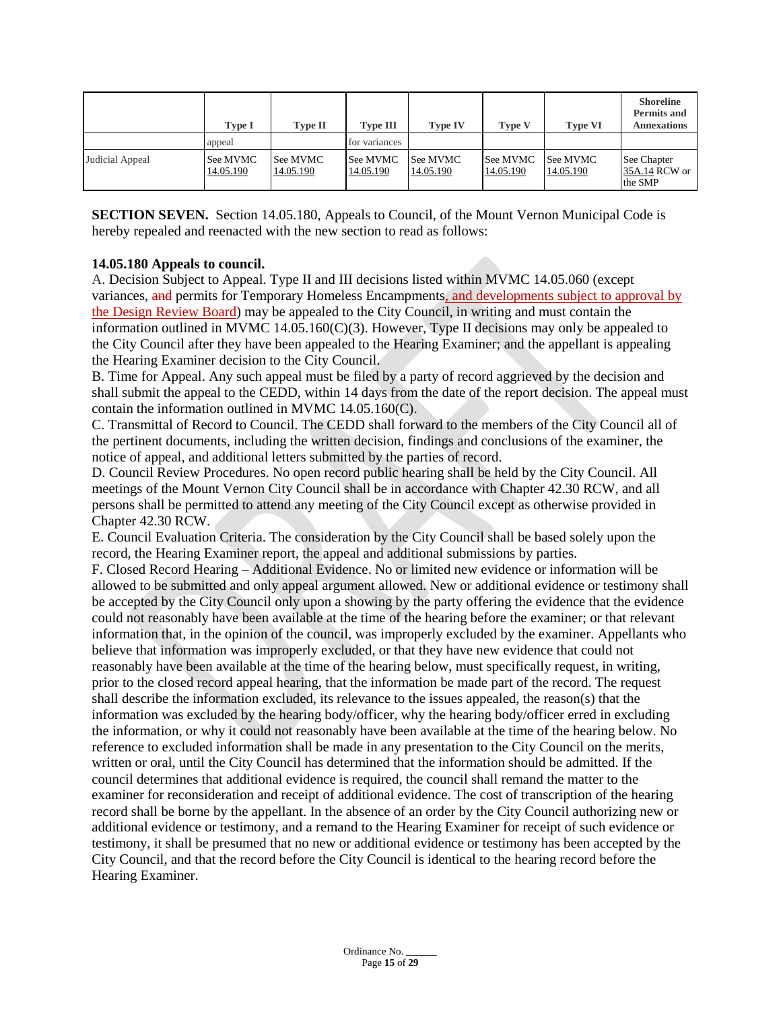|                 | Type I                | <b>Type II</b>        | <b>Type III</b>       | <b>Type IV</b>               | <b>Type V</b>         | <b>Type VI</b>        | <b>Shoreline</b><br><b>Permits and</b><br><b>Annexations</b> |
|-----------------|-----------------------|-----------------------|-----------------------|------------------------------|-----------------------|-----------------------|--------------------------------------------------------------|
|                 | appeal                |                       | for variances         |                              |                       |                       |                                                              |
| Judicial Appeal | See MVMC<br>14.05.190 | See MVMC<br>14.05.190 | See MVMC<br>14.05.190 | <b>See MVMC</b><br>14.05.190 | See MVMC<br>14.05.190 | See MVMC<br>14.05.190 | See Chapter<br>35A.14 RCW or<br>the SMP                      |

**SECTION SEVEN.** Section 14.05.180, Appeals to Council, of the Mount Vernon Municipal Code is hereby repealed and reenacted with the new section to read as follows:

### **14.05.180 Appeals to council.**

A. Decision Subject to Appeal. Type II and III decisions listed within MVMC [14.05.060](http://www.codepublishing.com/WA/MountVernon/#!/MountVernon14/MountVernon1405.html#14.05.060) (except variances, and permits for Temporary Homeless Encampments, and developments subject to approval by the Design Review Board) may be appealed to the City Council, in writing and must contain the information outlined in MVMC 14.05.160 $(C)(3)$ . However, Type II decisions may only be appealed to the City Council after they have been appealed to the Hearing Examiner; and the appellant is appealing the Hearing Examiner decision to the City Council.

B. Time for Appeal. Any such appeal must be filed by a party of record aggrieved by the decision and shall submit the appeal to the CEDD, within 14 days from the date of the report decision. The appeal must contain the information outlined in MVM[C 14.05.160\(](http://www.codepublishing.com/WA/MountVernon/#!/MountVernon14/MountVernon1405.html#14.05.160)C).

C. Transmittal of Record to Council. The CEDD shall forward to the members of the City Council all of the pertinent documents, including the written decision, findings and conclusions of the examiner, the notice of appeal, and additional letters submitted by the parties of record.

D. Council Review Procedures. No open record public hearing shall be held by the City Council. All meetings of the Mount Vernon City Council shall be in accordance with Chapter [42.30](http://www.codepublishing.com/cgi-bin/rcw.pl?cite=42.30) RCW, and all persons shall be permitted to attend any meeting of the City Council except as otherwise provided in Chapter [42.30](http://www.codepublishing.com/cgi-bin/rcw.pl?cite=42.30) RCW.

E. Council Evaluation Criteria. The consideration by the City Council shall be based solely upon the record, the Hearing Examiner report, the appeal and additional submissions by parties.

F. Closed Record Hearing – Additional Evidence. No or limited new evidence or information will be allowed to be submitted and only appeal argument allowed. New or additional evidence or testimony shall be accepted by the City Council only upon a showing by the party offering the evidence that the evidence could not reasonably have been available at the time of the hearing before the examiner; or that relevant information that, in the opinion of the council, was improperly excluded by the examiner. Appellants who believe that information was improperly excluded, or that they have new evidence that could not reasonably have been available at the time of the hearing below, must specifically request, in writing, prior to the closed record appeal hearing, that the information be made part of the record. The request shall describe the information excluded, its relevance to the issues appealed, the reason(s) that the information was excluded by the hearing body/officer, why the hearing body/officer erred in excluding the information, or why it could not reasonably have been available at the time of the hearing below. No reference to excluded information shall be made in any presentation to the City Council on the merits, written or oral, until the City Council has determined that the information should be admitted. If the council determines that additional evidence is required, the council shall remand the matter to the examiner for reconsideration and receipt of additional evidence. The cost of transcription of the hearing record shall be borne by the appellant. In the absence of an order by the City Council authorizing new or additional evidence or testimony, and a remand to the Hearing Examiner for receipt of such evidence or testimony, it shall be presumed that no new or additional evidence or testimony has been accepted by the City Council, and that the record before the City Council is identical to the hearing record before the Hearing Examiner.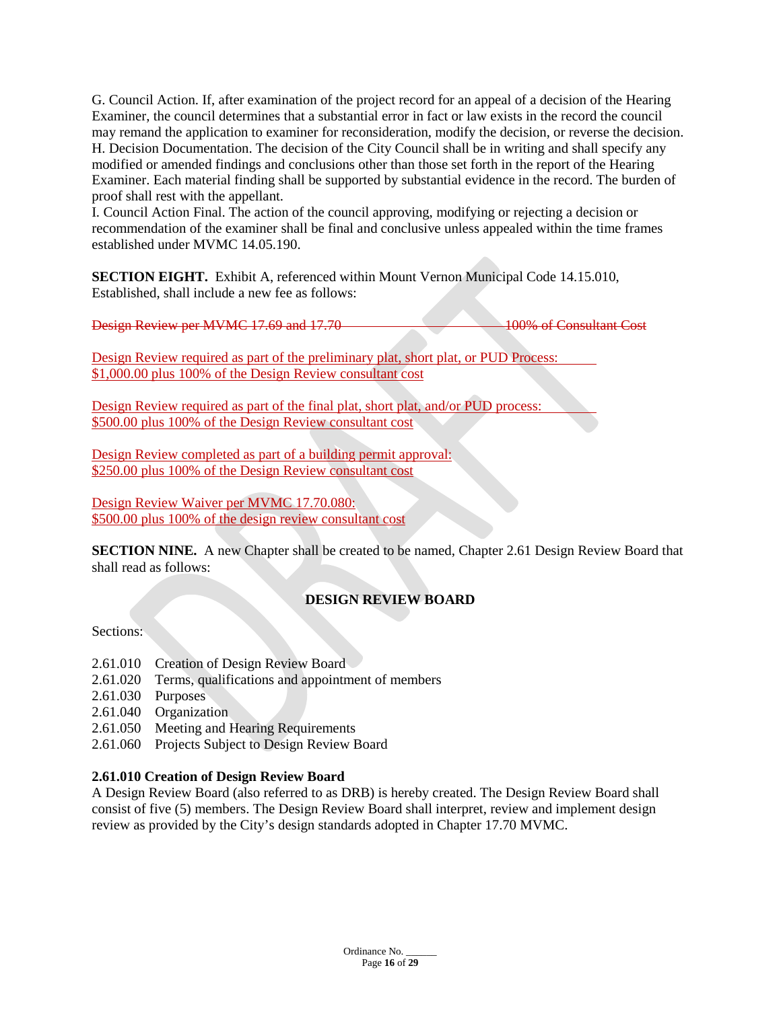G. Council Action. If, after examination of the project record for an appeal of a decision of the Hearing Examiner, the council determines that a substantial error in fact or law exists in the record the council may remand the application to examiner for reconsideration, modify the decision, or reverse the decision. H. Decision Documentation. The decision of the City Council shall be in writing and shall specify any modified or amended findings and conclusions other than those set forth in the report of the Hearing Examiner. Each material finding shall be supported by substantial evidence in the record. The burden of proof shall rest with the appellant.

I. Council Action Final. The action of the council approving, modifying or rejecting a decision or recommendation of the examiner shall be final and conclusive unless appealed within the time frames established under MVMC [14.05.190.](http://www.codepublishing.com/WA/MountVernon/#!/MountVernon14/MountVernon1405.html#14.05.190)

**SECTION EIGHT.** Exhibit A, referenced within Mount Vernon Municipal Code 14.15.010, Established, shall include a new fee as follows:

Design Review per MVMC 17.69 and 17.70 100% of Consultant Cost

Design Review required as part of the preliminary plat, short plat, or PUD Process: \$1,000.00 plus 100% of the Design Review consultant cost

Design Review required as part of the final plat, short plat, and/or PUD process: \$500.00 plus 100% of the Design Review consultant cost

Design Review completed as part of a building permit approval: \$250.00 plus 100% of the Design Review consultant cost

Design Review Waiver per MVMC 17.70.080: \$500.00 plus 100% of the design review consultant cost

**SECTION NINE.** A new Chapter shall be created to be named, Chapter 2.61 Design Review Board that shall read as follows:

# **DESIGN REVIEW BOARD**

Sections:

- 2.61.010 Creation of Design Review Board
- 2.61.020 Terms, qualifications and appointment of members
- 2.61.030 Purposes
- 2.61.040 Organization
- 2.61.050 Meeting and Hearing Requirements
- 2.61.060 Projects Subject to Design Review Board

### **2.61.010 Creation of Design Review Board**

A Design Review Board (also referred to as DRB) is hereby created. The Design Review Board shall consist of five (5) members. The Design Review Board shall interpret, review and implement design review as provided by the City's design standards adopted in Chapter 17.70 MVMC.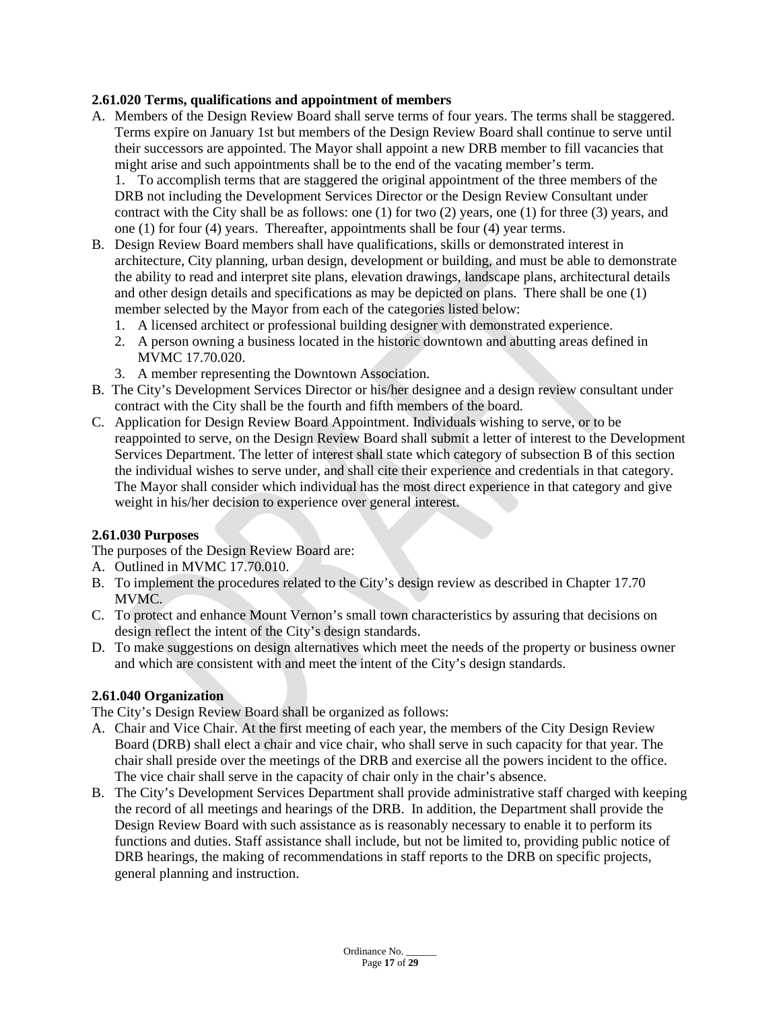### **2.61.020 Terms, qualifications and appointment of members**

A. Members of the Design Review Board shall serve terms of four years. The terms shall be staggered. Terms expire on January 1st but members of the Design Review Board shall continue to serve until their successors are appointed. The Mayor shall appoint a new DRB member to fill vacancies that might arise and such appointments shall be to the end of the vacating member's term.

1. To accomplish terms that are staggered the original appointment of the three members of the DRB not including the Development Services Director or the Design Review Consultant under contract with the City shall be as follows: one (1) for two (2) years, one (1) for three (3) years, and one (1) for four (4) years. Thereafter, appointments shall be four (4) year terms.

- B. Design Review Board members shall have qualifications, skills or demonstrated interest in architecture, City planning, urban design, development or building, and must be able to demonstrate the ability to read and interpret site plans, elevation drawings, landscape plans, architectural details and other design details and specifications as may be depicted on plans. There shall be one (1) member selected by the Mayor from each of the categories listed below:
	- 1. A licensed architect or professional building designer with demonstrated experience.
	- 2. A person owning a business located in the historic downtown and abutting areas defined in MVMC 17.70.020.
	- 3. A member representing the Downtown Association.
- B. The City's Development Services Director or his/her designee and a design review consultant under contract with the City shall be the fourth and fifth members of the board.
- C. Application for Design Review Board Appointment. Individuals wishing to serve, or to be reappointed to serve, on the Design Review Board shall submit a letter of interest to the Development Services Department. The letter of interest shall state which category of subsection B of this section the individual wishes to serve under, and shall cite their experience and credentials in that category. The Mayor shall consider which individual has the most direct experience in that category and give weight in his/her decision to experience over general interest.

#### **2.61.030 Purposes**

The purposes of the Design Review Board are:

- A. Outlined in MVMC 17.70.010.
- B. To implement the procedures related to the City's design review as described in Chapter 17.70 MVMC.
- C. To protect and enhance Mount Vernon's small town characteristics by assuring that decisions on design reflect the intent of the City's design standards.
- D. To make suggestions on design alternatives which meet the needs of the property or business owner and which are consistent with and meet the intent of the City's design standards.

#### **2.61.040 Organization**

The City's Design Review Board shall be organized as follows:

- A. Chair and Vice Chair. At the first meeting of each year, the members of the City Design Review Board (DRB) shall elect a chair and vice chair, who shall serve in such capacity for that year. The chair shall preside over the meetings of the DRB and exercise all the powers incident to the office. The vice chair shall serve in the capacity of chair only in the chair's absence.
- B. The City's Development Services Department shall provide administrative staff charged with keeping the record of all meetings and hearings of the DRB. In addition, the Department shall provide the Design Review Board with such assistance as is reasonably necessary to enable it to perform its functions and duties. Staff assistance shall include, but not be limited to, providing public notice of DRB hearings, the making of recommendations in staff reports to the DRB on specific projects, general planning and instruction.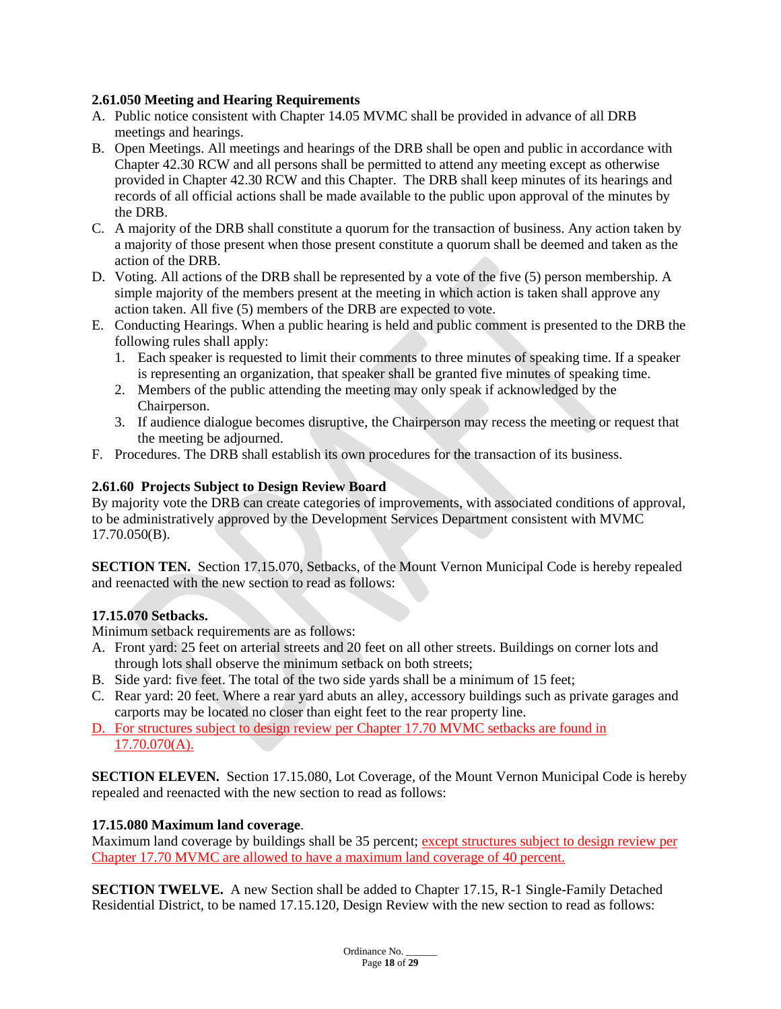### **2.61.050 Meeting and Hearing Requirements**

- A. Public notice consistent with Chapter 14.05 MVMC shall be provided in advance of all DRB meetings and hearings.
- B. Open Meetings. All meetings and hearings of the DRB shall be open and public in accordance with Chapter 42.30 RCW and all persons shall be permitted to attend any meeting except as otherwise provided in Chapter 42.30 RCW and this Chapter. The DRB shall keep minutes of its hearings and records of all official actions shall be made available to the public upon approval of the minutes by the DRB.
- C. A majority of the DRB shall constitute a quorum for the transaction of business. Any action taken by a majority of those present when those present constitute a quorum shall be deemed and taken as the action of the DRB.
- D. Voting. All actions of the DRB shall be represented by a vote of the five (5) person membership. A simple majority of the members present at the meeting in which action is taken shall approve any action taken. All five (5) members of the DRB are expected to vote.
- E. Conducting Hearings. When a public hearing is held and public comment is presented to the DRB the following rules shall apply:
	- 1. Each speaker is requested to limit their comments to three minutes of speaking time. If a speaker is representing an organization, that speaker shall be granted five minutes of speaking time.
	- 2. Members of the public attending the meeting may only speak if acknowledged by the Chairperson.
	- 3. If audience dialogue becomes disruptive, the Chairperson may recess the meeting or request that the meeting be adjourned.
- F. Procedures. The DRB shall establish its own procedures for the transaction of its business.

### **2.61.60 Projects Subject to Design Review Board**

By majority vote the DRB can create categories of improvements, with associated conditions of approval, to be administratively approved by the Development Services Department consistent with MVMC 17.70.050(B).

**SECTION TEN.** Section 17.15.070, Setbacks, of the Mount Vernon Municipal Code is hereby repealed and reenacted with the new section to read as follows:

### **17.15.070 Setbacks.**

Minimum setback requirements are as follows:

- A. Front yard: 25 feet on arterial streets and 20 feet on all other streets. Buildings on corner lots and through lots shall observe the minimum setback on both streets;
- B. Side yard: five feet. The total of the two side yards shall be a minimum of 15 feet;
- C. Rear yard: 20 feet. Where a rear yard abuts an alley, accessory buildings such as private garages and carports may be located no closer than eight feet to the rear property line.
- D. For structures subject to design review per Chapter 17.70 MVMC setbacks are found in 17.70.070(A).

**SECTION ELEVEN.** Section 17.15.080, Lot Coverage, of the Mount Vernon Municipal Code is hereby repealed and reenacted with the new section to read as follows:

#### **17.15.080 Maximum land coverage**.

Maximum land coverage by buildings shall be 35 percent; except structures subject to design review per Chapter 17.70 MVMC are allowed to have a maximum land coverage of 40 percent.

**SECTION TWELVE.** A new Section shall be added to Chapter 17.15, R-1 Single-Family Detached Residential District, to be named 17.15.120, Design Review with the new section to read as follows: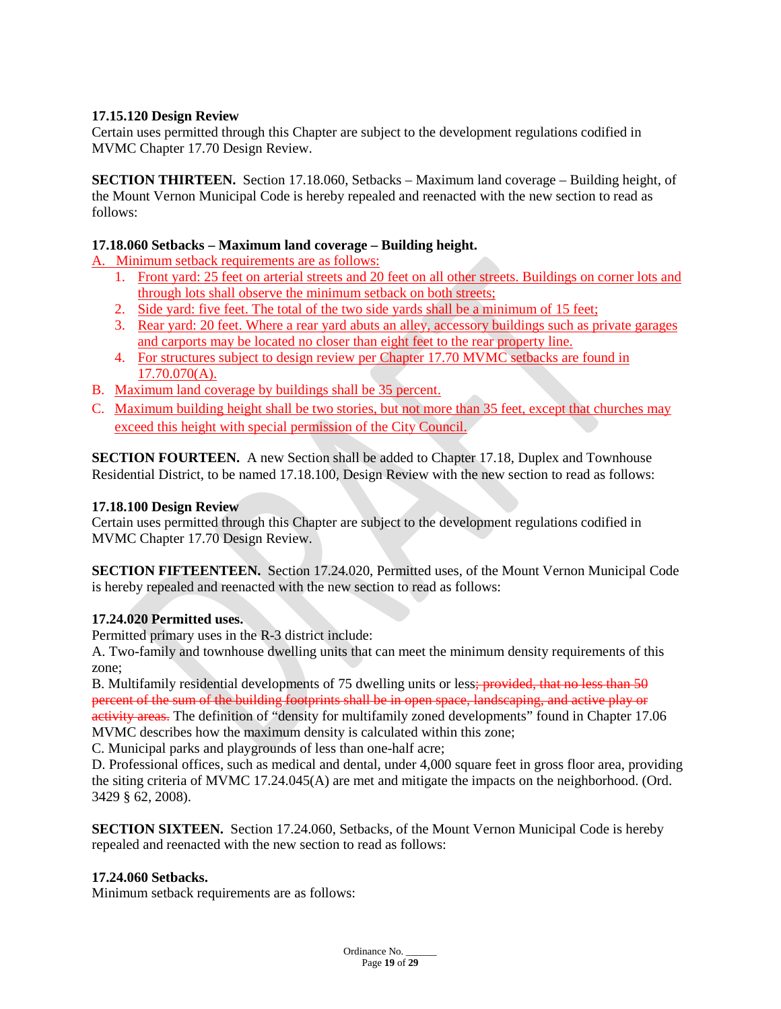### **17.15.120 Design Review**

Certain uses permitted through this Chapter are subject to the development regulations codified in MVMC Chapter 17.70 Design Review.

**SECTION THIRTEEN.** Section 17.18.060, Setbacks – Maximum land coverage – Building height, of the Mount Vernon Municipal Code is hereby repealed and reenacted with the new section to read as follows:

### **17.18.060 Setbacks – Maximum land coverage – Building height.**

A. Minimum setback requirements are as follows:

- 1. Front yard: 25 feet on arterial streets and 20 feet on all other streets. Buildings on corner lots and through lots shall observe the minimum setback on both streets;
- 2. Side yard: five feet. The total of the two side yards shall be a minimum of 15 feet;
- 3. Rear yard: 20 feet. Where a rear yard abuts an alley, accessory buildings such as private garages and carports may be located no closer than eight feet to the rear property line.
- 4. For structures subject to design review per Chapter 17.70 MVMC setbacks are found in 17.70.070(A).
- B. Maximum land coverage by buildings shall be 35 percent.
- C. Maximum building height shall be two stories, but not more than 35 feet, except that churches may exceed this height with special permission of the City Council.

**SECTION FOURTEEN.** A new Section shall be added to Chapter 17.18, Duplex and Townhouse Residential District, to be named 17.18.100, Design Review with the new section to read as follows:

#### **17.18.100 Design Review**

Certain uses permitted through this Chapter are subject to the development regulations codified in MVMC Chapter 17.70 Design Review.

**SECTION FIFTEENTEEN.** Section 17.24.020, Permitted uses, of the Mount Vernon Municipal Code is hereby repealed and reenacted with the new section to read as follows:

#### **17.24.020 Permitted uses.**

Permitted primary uses in the R-3 district include:

A. Two-family and townhouse dwelling units that can meet the minimum density requirements of this zone;

B. Multifamily residential developments of 75 dwelling units or less; provided, that no less than 50 percent of the sum of the building footprints shall be in open space, landscaping, and active play or activity areas. The definition of "density for multifamily zoned developments" found in Chapter 17.06 MVMC describes how the maximum density is calculated within this zone;

C. Municipal parks and playgrounds of less than one-half acre;

D. Professional offices, such as medical and dental, under 4,000 square feet in gross floor area, providing the siting criteria of MVMC 17.24.045(A) are met and mitigate the impacts on the neighborhood. (Ord. 3429 § 62, 2008).

**SECTION SIXTEEN.** Section 17.24.060, Setbacks, of the Mount Vernon Municipal Code is hereby repealed and reenacted with the new section to read as follows:

#### **17.24.060 Setbacks.**

Minimum setback requirements are as follows: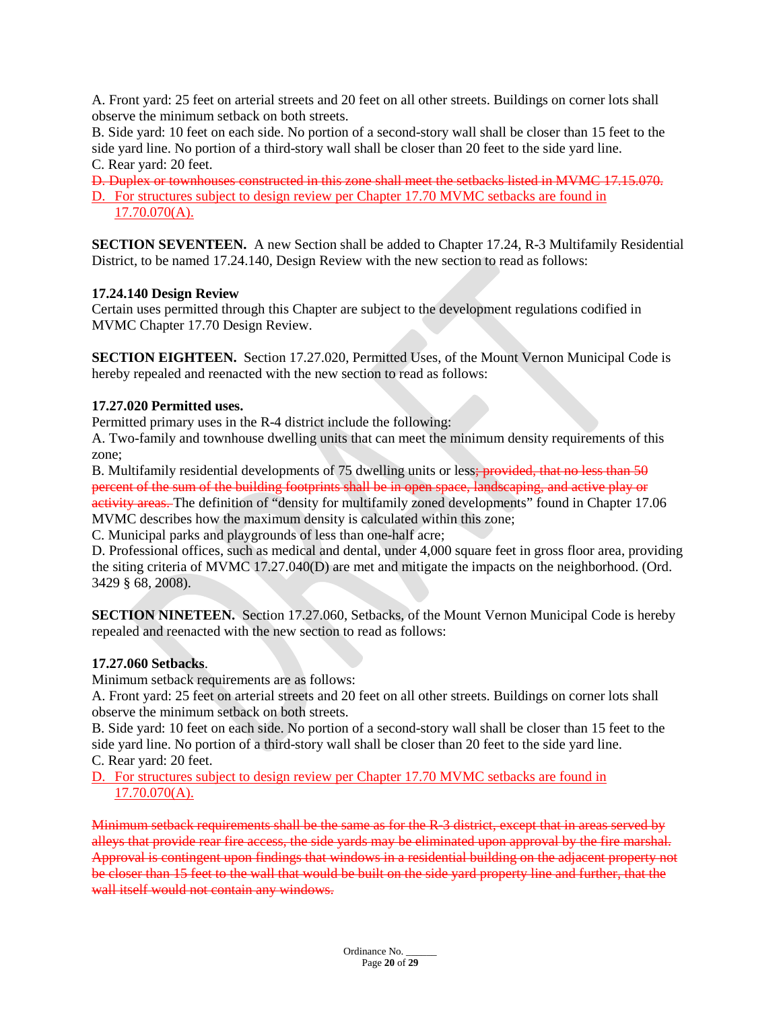A. Front yard: 25 feet on arterial streets and 20 feet on all other streets. Buildings on corner lots shall observe the minimum setback on both streets.

B. Side yard: 10 feet on each side. No portion of a second-story wall shall be closer than 15 feet to the side yard line. No portion of a third-story wall shall be closer than 20 feet to the side yard line. C. Rear yard: 20 feet.

D. Duplex or townhouses constructed in this zone shall meet the setbacks listed in MVMC 17.15.070. D. For structures subject to design review per Chapter 17.70 MVMC setbacks are found in 17.70.070(A).

**SECTION SEVENTEEN.** A new Section shall be added to Chapter 17.24, R-3 Multifamily Residential District, to be named 17.24.140, Design Review with the new section to read as follows:

### **17.24.140 Design Review**

Certain uses permitted through this Chapter are subject to the development regulations codified in MVMC Chapter 17.70 Design Review.

**SECTION EIGHTEEN.** Section 17.27.020, Permitted Uses, of the Mount Vernon Municipal Code is hereby repealed and reenacted with the new section to read as follows:

### **17.27.020 Permitted uses.**

Permitted primary uses in the R-4 district include the following:

A. Two-family and townhouse dwelling units that can meet the minimum density requirements of this zone;

B. Multifamily residential developments of 75 dwelling units or less; provided, that no less than 50 percent of the sum of the building footprints shall be in open space, landscaping, and active play or activity areas. The definition of "density for multifamily zoned developments" found in Chapter 17.06 MVMC describes how the maximum density is calculated within this zone;

C. Municipal parks and playgrounds of less than one-half acre;

D. Professional offices, such as medical and dental, under 4,000 square feet in gross floor area, providing the siting criteria of MVMC 17.27.040(D) are met and mitigate the impacts on the neighborhood. (Ord. 3429 § 68, 2008).

**SECTION NINETEEN.** Section 17.27.060, Setbacks, of the Mount Vernon Municipal Code is hereby repealed and reenacted with the new section to read as follows:

#### **17.27.060 Setbacks**.

Minimum setback requirements are as follows:

A. Front yard: 25 feet on arterial streets and 20 feet on all other streets. Buildings on corner lots shall observe the minimum setback on both streets.

B. Side yard: 10 feet on each side. No portion of a second-story wall shall be closer than 15 feet to the side yard line. No portion of a third-story wall shall be closer than 20 feet to the side yard line. C. Rear yard: 20 feet.

D. For structures subject to design review per Chapter 17.70 MVMC setbacks are found in 17.70.070(A).

Minimum setback requirements shall be the same as for the R-3 district, except that in areas served by alleys that provide rear fire access, the side yards may be eliminated upon approval by the fire marshal. Approval is contingent upon findings that windows in a residential building on the adjacent property not be closer than 15 feet to the wall that would be built on the side yard property line and further, that the wall itself would not contain any windows.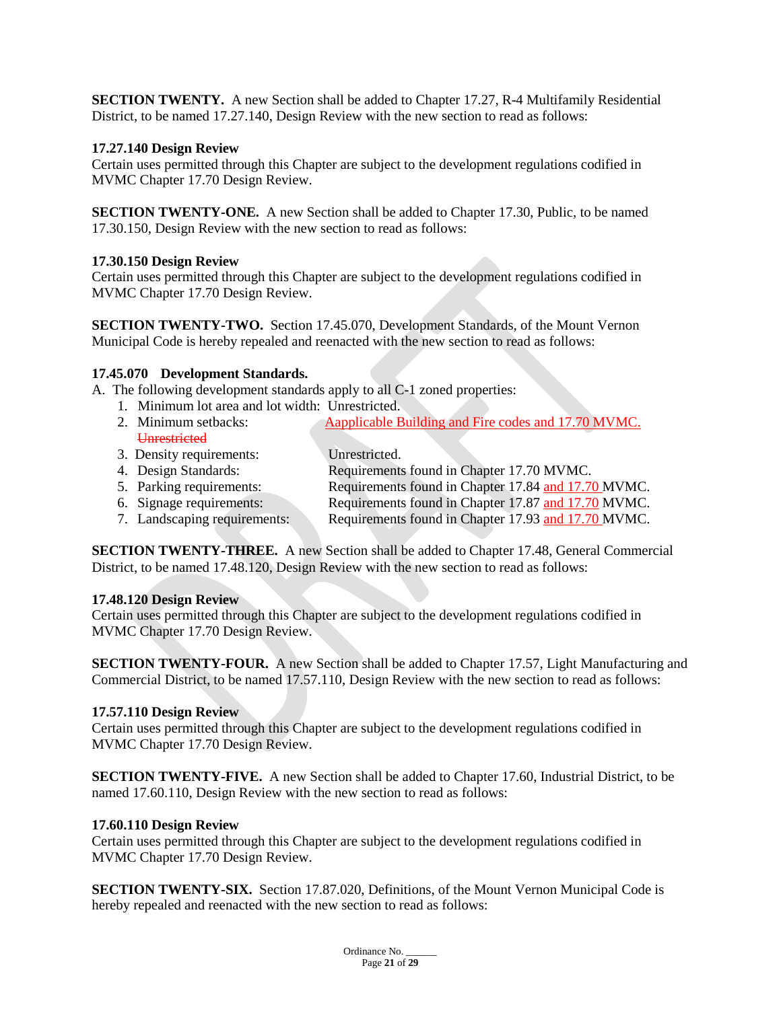**SECTION TWENTY.** A new Section shall be added to Chapter 17.27, R-4 Multifamily Residential District, to be named 17.27.140, Design Review with the new section to read as follows:

#### **17.27.140 Design Review**

Certain uses permitted through this Chapter are subject to the development regulations codified in MVMC Chapter 17.70 Design Review.

**SECTION TWENTY-ONE.** A new Section shall be added to Chapter 17.30, Public, to be named 17.30.150, Design Review with the new section to read as follows:

#### **17.30.150 Design Review**

Certain uses permitted through this Chapter are subject to the development regulations codified in MVMC Chapter 17.70 Design Review.

**SECTION TWENTY-TWO.** Section 17.45.070, Development Standards, of the Mount Vernon Municipal Code is hereby repealed and reenacted with the new section to read as follows:

#### **17.45.070 Development Standards.**

A. The following development standards apply to all C-1 zoned properties:

- 1. Minimum lot area and lot width: Unrestricted.
- 2. Minimum setbacks: Aapplicable Building and Fire codes and 17.70 MVMC. **Unrestricted**
- 3. Density requirements: Unrestricted.<br>4. Design Standards: Requirements
	- Requirements found in Chapter 17.70 MVMC.
- 5. Parking requirements: Requirements found in Chapter 17.84 and 17.70 MVMC.
- 6. Signage requirements: Requirements found in Chapter 17.87 and 17.70 MVMC.<br>7. Landscaping requirements: Requirements found in Chapter 17.93 and 17.70 MVMC.
	- Requirements found in Chapter 17.93 and 17.70 MVMC.

**SECTION TWENTY-THREE.** A new Section shall be added to Chapter 17.48, General Commercial District, to be named 17.48.120, Design Review with the new section to read as follows:

#### **17.48.120 Design Review**

Certain uses permitted through this Chapter are subject to the development regulations codified in MVMC Chapter 17.70 Design Review.

**SECTION TWENTY-FOUR.** A new Section shall be added to Chapter 17.57, Light Manufacturing and Commercial District, to be named 17.57.110, Design Review with the new section to read as follows:

#### **17.57.110 Design Review**

Certain uses permitted through this Chapter are subject to the development regulations codified in MVMC Chapter 17.70 Design Review.

**SECTION TWENTY-FIVE.** A new Section shall be added to Chapter 17.60, Industrial District, to be named 17.60.110, Design Review with the new section to read as follows:

#### **17.60.110 Design Review**

Certain uses permitted through this Chapter are subject to the development regulations codified in MVMC Chapter 17.70 Design Review.

**SECTION TWENTY-SIX.** Section 17.87.020, Definitions, of the Mount Vernon Municipal Code is hereby repealed and reenacted with the new section to read as follows: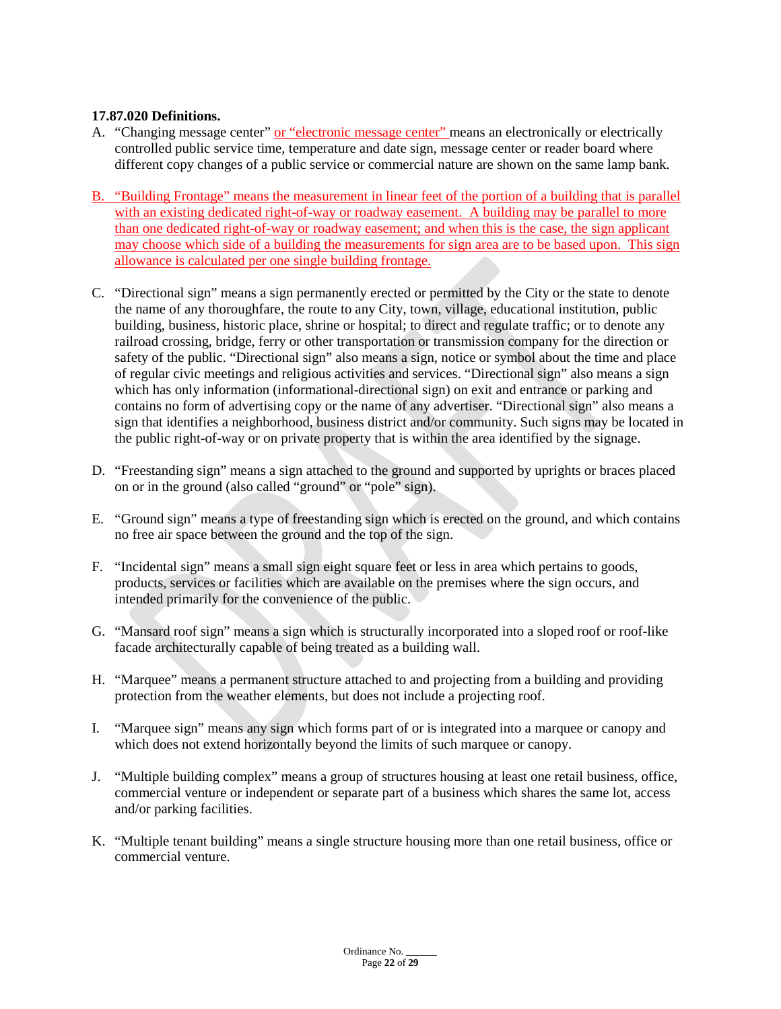### **17.87.020 Definitions.**

- A. "Changing message center" or "electronic message center" means an electronically or electrically controlled public service time, temperature and date sign, message center or reader board where different copy changes of a public service or commercial nature are shown on the same lamp bank.
- B. "Building Frontage" means the measurement in linear feet of the portion of a building that is parallel with an existing dedicated right-of-way or roadway easement. A building may be parallel to more than one dedicated right-of-way or roadway easement; and when this is the case, the sign applicant may choose which side of a building the measurements for sign area are to be based upon. This sign allowance is calculated per one single building frontage.
- C. "Directional sign" means a sign permanently erected or permitted by the City or the state to denote the name of any thoroughfare, the route to any City, town, village, educational institution, public building, business, historic place, shrine or hospital; to direct and regulate traffic; or to denote any railroad crossing, bridge, ferry or other transportation or transmission company for the direction or safety of the public. "Directional sign" also means a sign, notice or symbol about the time and place of regular civic meetings and religious activities and services. "Directional sign" also means a sign which has only information (informational-directional sign) on exit and entrance or parking and contains no form of advertising copy or the name of any advertiser. "Directional sign" also means a sign that identifies a neighborhood, business district and/or community. Such signs may be located in the public right-of-way or on private property that is within the area identified by the signage.
- D. "Freestanding sign" means a sign attached to the ground and supported by uprights or braces placed on or in the ground (also called "ground" or "pole" sign).
- E. "Ground sign" means a type of freestanding sign which is erected on the ground, and which contains no free air space between the ground and the top of the sign.
- F. "Incidental sign" means a small sign eight square feet or less in area which pertains to goods, products, services or facilities which are available on the premises where the sign occurs, and intended primarily for the convenience of the public.
- G. "Mansard roof sign" means a sign which is structurally incorporated into a sloped roof or roof-like facade architecturally capable of being treated as a building wall.
- H. "Marquee" means a permanent structure attached to and projecting from a building and providing protection from the weather elements, but does not include a projecting roof.
- I. "Marquee sign" means any sign which forms part of or is integrated into a marquee or canopy and which does not extend horizontally beyond the limits of such marquee or canopy.
- J. "Multiple building complex" means a group of structures housing at least one retail business, office, commercial venture or independent or separate part of a business which shares the same lot, access and/or parking facilities.
- K. "Multiple tenant building" means a single structure housing more than one retail business, office or commercial venture.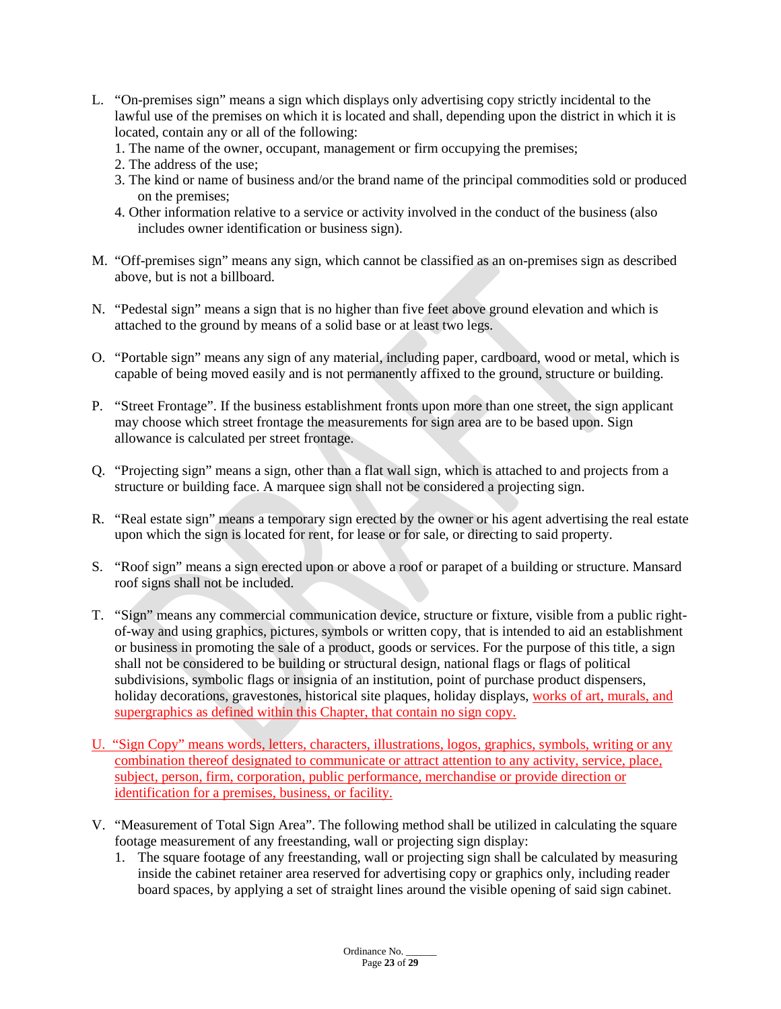- L. "On-premises sign" means a sign which displays only advertising copy strictly incidental to the lawful use of the premises on which it is located and shall, depending upon the district in which it is located, contain any or all of the following:
	- 1. The name of the owner, occupant, management or firm occupying the premises;
	- 2. The address of the use;
	- 3. The kind or name of business and/or the brand name of the principal commodities sold or produced on the premises;
	- 4. Other information relative to a service or activity involved in the conduct of the business (also includes owner identification or business sign).
- M. "Off-premises sign" means any sign, which cannot be classified as an on-premises sign as described above, but is not a billboard.
- N. "Pedestal sign" means a sign that is no higher than five feet above ground elevation and which is attached to the ground by means of a solid base or at least two legs.
- O. "Portable sign" means any sign of any material, including paper, cardboard, wood or metal, which is capable of being moved easily and is not permanently affixed to the ground, structure or building.
- P. "Street Frontage". If the business establishment fronts upon more than one street, the sign applicant may choose which street frontage the measurements for sign area are to be based upon. Sign allowance is calculated per street frontage.
- Q. "Projecting sign" means a sign, other than a flat wall sign, which is attached to and projects from a structure or building face. A marquee sign shall not be considered a projecting sign.
- R. "Real estate sign" means a temporary sign erected by the owner or his agent advertising the real estate upon which the sign is located for rent, for lease or for sale, or directing to said property.
- S. "Roof sign" means a sign erected upon or above a roof or parapet of a building or structure. Mansard roof signs shall not be included.
- T. "Sign" means any commercial communication device, structure or fixture, visible from a public rightof-way and using graphics, pictures, symbols or written copy, that is intended to aid an establishment or business in promoting the sale of a product, goods or services. For the purpose of this title, a sign shall not be considered to be building or structural design, national flags or flags of political subdivisions, symbolic flags or insignia of an institution, point of purchase product dispensers, holiday decorations, gravestones, historical site plaques, holiday displays, works of art, murals, and supergraphics as defined within this Chapter, that contain no sign copy.
- U. "Sign Copy" means words, letters, characters, illustrations, logos, graphics, symbols, writing or any combination thereof designated to communicate or attract attention to any activity, service, place, subject, person, firm, corporation, public performance, merchandise or provide direction or identification for a premises, business, or facility.
- V. "Measurement of Total Sign Area". The following method shall be utilized in calculating the square footage measurement of any freestanding, wall or projecting sign display:
	- 1. The square footage of any freestanding, wall or projecting sign shall be calculated by measuring inside the cabinet retainer area reserved for advertising copy or graphics only, including reader board spaces, by applying a set of straight lines around the visible opening of said sign cabinet.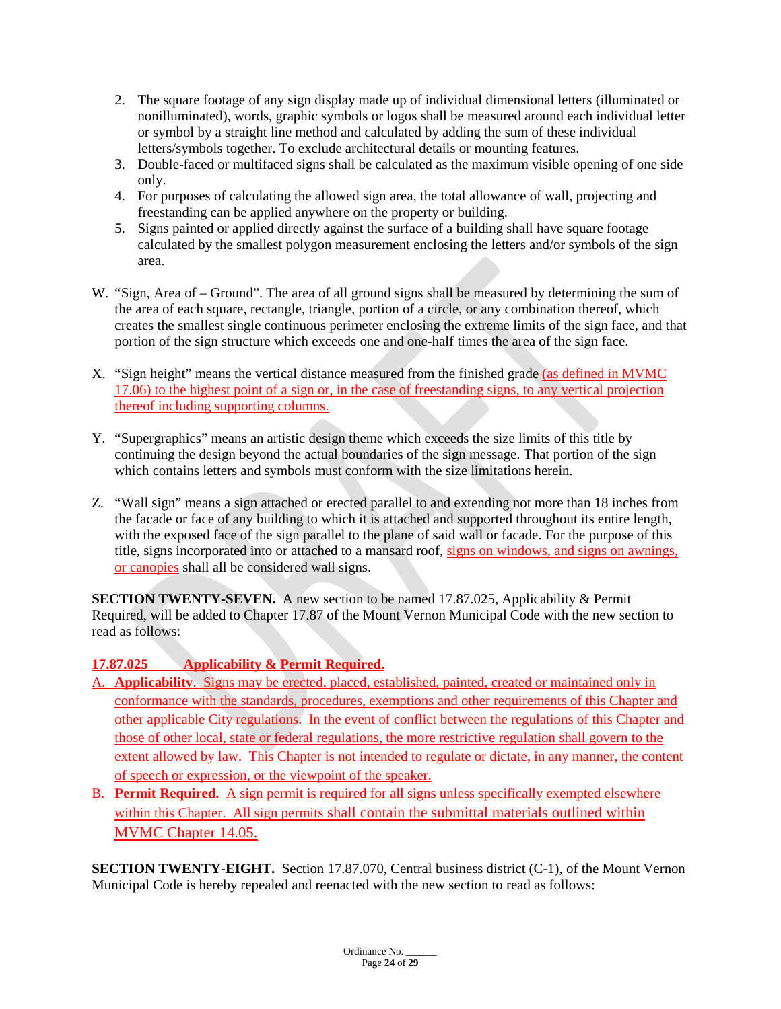- 2. The square footage of any sign display made up of individual dimensional letters (illuminated or nonilluminated), words, graphic symbols or logos shall be measured around each individual letter or symbol by a straight line method and calculated by adding the sum of these individual letters/symbols together. To exclude architectural details or mounting features.
- 3. Double-faced or multifaced signs shall be calculated as the maximum visible opening of one side only.
- 4. For purposes of calculating the allowed sign area, the total allowance of wall, projecting and freestanding can be applied anywhere on the property or building.
- 5. Signs painted or applied directly against the surface of a building shall have square footage calculated by the smallest polygon measurement enclosing the letters and/or symbols of the sign area.
- W. "Sign, Area of Ground". The area of all ground signs shall be measured by determining the sum of the area of each square, rectangle, triangle, portion of a circle, or any combination thereof, which creates the smallest single continuous perimeter enclosing the extreme limits of the sign face, and that portion of the sign structure which exceeds one and one-half times the area of the sign face.
- X. "Sign height" means the vertical distance measured from the finished grade (as defined in MVMC 17.06) to the highest point of a sign or, in the case of freestanding signs, to any vertical projection thereof including supporting columns.
- Y. "Supergraphics" means an artistic design theme which exceeds the size limits of this title by continuing the design beyond the actual boundaries of the sign message. That portion of the sign which contains letters and symbols must conform with the size limitations herein.
- Z. "Wall sign" means a sign attached or erected parallel to and extending not more than 18 inches from the facade or face of any building to which it is attached and supported throughout its entire length, with the exposed face of the sign parallel to the plane of said wall or facade. For the purpose of this title, signs incorporated into or attached to a mansard roof, signs on windows, and signs on awnings, or canopies shall all be considered wall signs.

**SECTION TWENTY-SEVEN.** A new section to be named 17.87.025, Applicability & Permit Required, will be added to Chapter 17.87 of the Mount Vernon Municipal Code with the new section to read as follows:

# **17.87.025 Applicability & Permit Required.**

- Applicability. Signs may be erected, placed, established, painted, created or maintained only in conformance with the standards, procedures, exemptions and other requirements of this Chapter and other applicable City regulations. In the event of conflict between the regulations of this Chapter and those of other local, state or federal regulations, the more restrictive regulation shall govern to the extent allowed by law. This Chapter is not intended to regulate or dictate, in any manner, the content of speech or expression, or the viewpoint of the speaker.
- B. **Permit Required.** A sign permit is required for all signs unless specifically exempted elsewhere within this Chapter. All sign permits shall contain the submittal materials outlined within MVMC Chapter 14.05.

**SECTION TWENTY-EIGHT.** Section 17.87.070, Central business district (C-1), of the Mount Vernon Municipal Code is hereby repealed and reenacted with the new section to read as follows: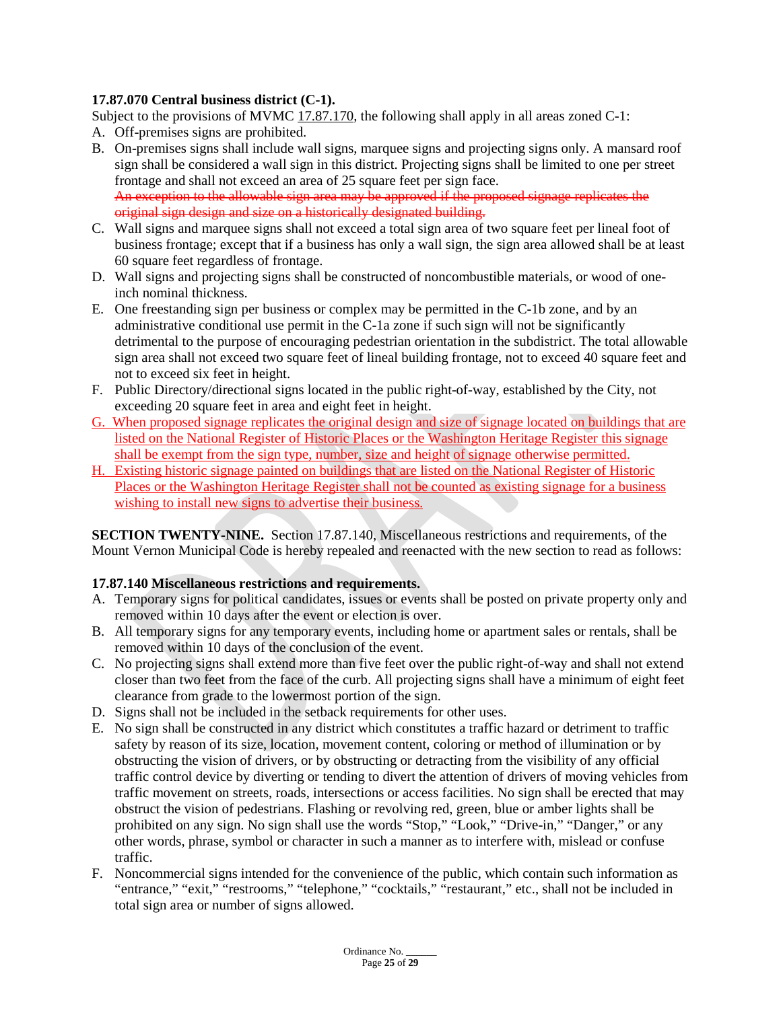# **17.87.070 Central business district (C-1).**

Subject to the provisions of MVMC [17.87.170,](https://www.codepublishing.com/WA/MountVernon/#!/MountVernon17/MountVernon1787.html#17.87.170) the following shall apply in all areas zoned C-1:

- A. Off-premises signs are prohibited.
- B. On-premises signs shall include wall signs, marquee signs and projecting signs only. A mansard roof sign shall be considered a wall sign in this district. Projecting signs shall be limited to one per street frontage and shall not exceed an area of 25 square feet per sign face. An exception to the allowable sign area may be approved if the proposed signage replicates the original sign design and size on a historically designated building.
- C. Wall signs and marquee signs shall not exceed a total sign area of two square feet per lineal foot of business frontage; except that if a business has only a wall sign, the sign area allowed shall be at least 60 square feet regardless of frontage.
- D. Wall signs and projecting signs shall be constructed of noncombustible materials, or wood of oneinch nominal thickness.
- E. One freestanding sign per business or complex may be permitted in the C-1b zone, and by an administrative conditional use permit in the C-1a zone if such sign will not be significantly detrimental to the purpose of encouraging pedestrian orientation in the subdistrict. The total allowable sign area shall not exceed two square feet of lineal building frontage, not to exceed 40 square feet and not to exceed six feet in height.
- F. Public Directory/directional signs located in the public right-of-way, established by the City, not exceeding 20 square feet in area and eight feet in height.
- G. When proposed signage replicates the original design and size of signage located on buildings that are listed on the National Register of Historic Places or the Washington Heritage Register this signage shall be exempt from the sign type, number, size and height of signage otherwise permitted.
- H. Existing historic signage painted on buildings that are listed on the National Register of Historic Places or the Washington Heritage Register shall not be counted as existing signage for a business wishing to install new signs to advertise their business.

**SECTION TWENTY-NINE.** Section 17.87.140, Miscellaneous restrictions and requirements, of the Mount Vernon Municipal Code is hereby repealed and reenacted with the new section to read as follows:

### **17.87.140 Miscellaneous restrictions and requirements.**

- A. Temporary signs for political candidates, issues or events shall be posted on private property only and removed within 10 days after the event or election is over.
- B. All temporary signs for any temporary events, including home or apartment sales or rentals, shall be removed within 10 days of the conclusion of the event.
- C. No projecting signs shall extend more than five feet over the public right-of-way and shall not extend closer than two feet from the face of the curb. All projecting signs shall have a minimum of eight feet clearance from grade to the lowermost portion of the sign.
- D. Signs shall not be included in the setback requirements for other uses.
- E. No sign shall be constructed in any district which constitutes a traffic hazard or detriment to traffic safety by reason of its size, location, movement content, coloring or method of illumination or by obstructing the vision of drivers, or by obstructing or detracting from the visibility of any official traffic control device by diverting or tending to divert the attention of drivers of moving vehicles from traffic movement on streets, roads, intersections or access facilities. No sign shall be erected that may obstruct the vision of pedestrians. Flashing or revolving red, green, blue or amber lights shall be prohibited on any sign. No sign shall use the words "Stop," "Look," "Drive-in," "Danger," or any other words, phrase, symbol or character in such a manner as to interfere with, mislead or confuse traffic.
- F. Noncommercial signs intended for the convenience of the public, which contain such information as "entrance," "exit," "restrooms," "telephone," "cocktails," "restaurant," etc., shall not be included in total sign area or number of signs allowed.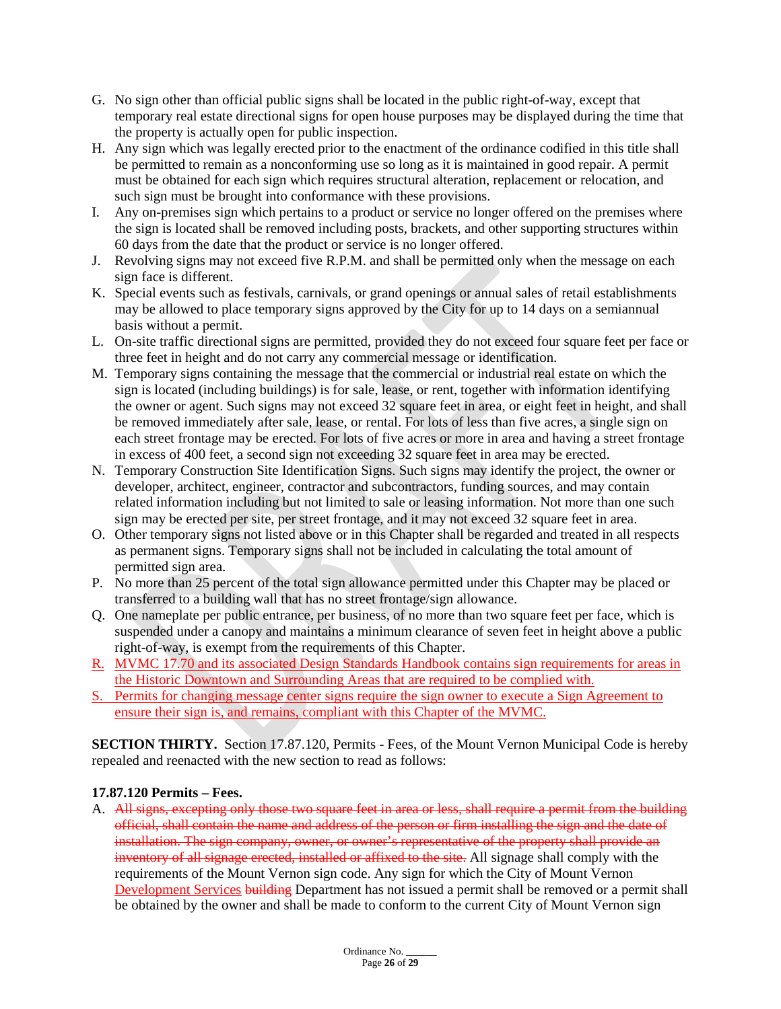- G. No sign other than official public signs shall be located in the public right-of-way, except that temporary real estate directional signs for open house purposes may be displayed during the time that the property is actually open for public inspection.
- H. Any sign which was legally erected prior to the enactment of the ordinance codified in this title shall be permitted to remain as a nonconforming use so long as it is maintained in good repair. A permit must be obtained for each sign which requires structural alteration, replacement or relocation, and such sign must be brought into conformance with these provisions.
- I. Any on-premises sign which pertains to a product or service no longer offered on the premises where the sign is located shall be removed including posts, brackets, and other supporting structures within 60 days from the date that the product or service is no longer offered.
- J. Revolving signs may not exceed five R.P.M. and shall be permitted only when the message on each sign face is different.
- K. Special events such as festivals, carnivals, or grand openings or annual sales of retail establishments may be allowed to place temporary signs approved by the City for up to 14 days on a semiannual basis without a permit.
- L. On-site traffic directional signs are permitted, provided they do not exceed four square feet per face or three feet in height and do not carry any commercial message or identification.
- M. Temporary signs containing the message that the commercial or industrial real estate on which the sign is located (including buildings) is for sale, lease, or rent, together with information identifying the owner or agent. Such signs may not exceed 32 square feet in area, or eight feet in height, and shall be removed immediately after sale, lease, or rental. For lots of less than five acres, a single sign on each street frontage may be erected. For lots of five acres or more in area and having a street frontage in excess of 400 feet, a second sign not exceeding 32 square feet in area may be erected.
- N. Temporary Construction Site Identification Signs. Such signs may identify the project, the owner or developer, architect, engineer, contractor and subcontractors, funding sources, and may contain related information including but not limited to sale or leasing information. Not more than one such sign may be erected per site, per street frontage, and it may not exceed 32 square feet in area.
- O. Other temporary signs not listed above or in this Chapter shall be regarded and treated in all respects as permanent signs. Temporary signs shall not be included in calculating the total amount of permitted sign area.
- P. No more than 25 percent of the total sign allowance permitted under this Chapter may be placed or transferred to a building wall that has no street frontage/sign allowance.
- Q. One nameplate per public entrance, per business, of no more than two square feet per face, which is suspended under a canopy and maintains a minimum clearance of seven feet in height above a public right-of-way, is exempt from the requirements of this Chapter.
- R. MVMC 17.70 and its associated Design Standards Handbook contains sign requirements for areas in the Historic Downtown and Surrounding Areas that are required to be complied with.
- S. Permits for changing message center signs require the sign owner to execute a Sign Agreement to ensure their sign is, and remains, compliant with this Chapter of the MVMC.

**SECTION THIRTY.** Section 17.87.120, Permits - Fees, of the Mount Vernon Municipal Code is hereby repealed and reenacted with the new section to read as follows:

### **17.87.120 Permits – Fees.**

A. All signs, excepting only those two square feet in area or less, shall require a permit from the building official, shall contain the name and address of the person or firm installing the sign and the date of installation. The sign company, owner, or owner's representative of the property shall provide an inventory of all signage erected, installed or affixed to the site. All signage shall comply with the requirements of the Mount Vernon sign code. Any sign for which the City of Mount Vernon Development Services building Department has not issued a permit shall be removed or a permit shall be obtained by the owner and shall be made to conform to the current City of Mount Vernon sign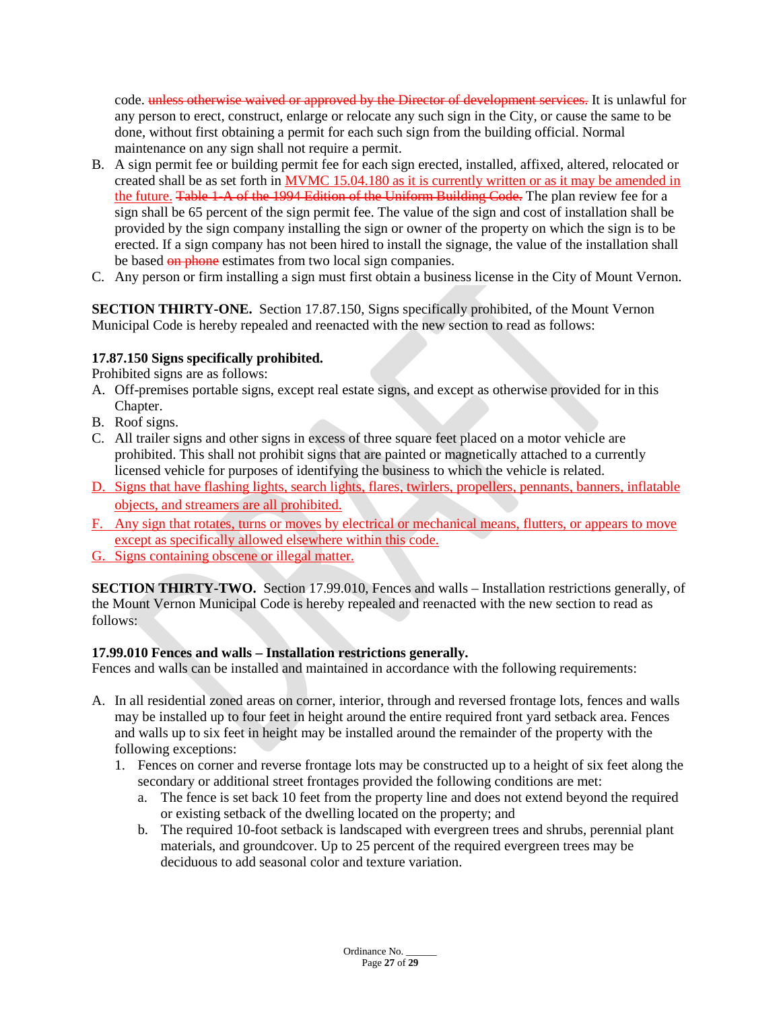code. unless otherwise waived or approved by the Director of development services. It is unlawful for any person to erect, construct, enlarge or relocate any such sign in the City, or cause the same to be done, without first obtaining a permit for each such sign from the building official. Normal maintenance on any sign shall not require a permit.

- B. A sign permit fee or building permit fee for each sign erected, installed, affixed, altered, relocated or created shall be as set forth in MVMC 15.04.180 as it is currently written or as it may be amended in the future. Table 1-A of the 1994 Edition of the Uniform Building Code. The plan review fee for a sign shall be 65 percent of the sign permit fee. The value of the sign and cost of installation shall be provided by the sign company installing the sign or owner of the property on which the sign is to be erected. If a sign company has not been hired to install the signage, the value of the installation shall be based on phone estimates from two local sign companies.
- C. Any person or firm installing a sign must first obtain a business license in the City of Mount Vernon.

**SECTION THIRTY-ONE.** Section 17.87.150, Signs specifically prohibited, of the Mount Vernon Municipal Code is hereby repealed and reenacted with the new section to read as follows:

### **17.87.150 Signs specifically prohibited.**

Prohibited signs are as follows:

- A. Off-premises portable signs, except real estate signs, and except as otherwise provided for in this Chapter.
- B. Roof signs.
- C. All trailer signs and other signs in excess of three square feet placed on a motor vehicle are prohibited. This shall not prohibit signs that are painted or magnetically attached to a currently licensed vehicle for purposes of identifying the business to which the vehicle is related.
- D. Signs that have flashing lights, search lights, flares, twirlers, propellers, pennants, banners, inflatable objects, and streamers are all prohibited.
- F. Any sign that rotates, turns or moves by electrical or mechanical means, flutters, or appears to move except as specifically allowed elsewhere within this code.
- G. Signs containing obscene or illegal matter.

**SECTION THIRTY-TWO.** Section 17.99.010, Fences and walls – Installation restrictions generally, of the Mount Vernon Municipal Code is hereby repealed and reenacted with the new section to read as follows:

### **17.99.010 Fences and walls – Installation restrictions generally.**

Fences and walls can be installed and maintained in accordance with the following requirements:

- A. In all residential zoned areas on corner, interior, through and reversed frontage lots, fences and walls may be installed up to four feet in height around the entire required front yard setback area. Fences and walls up to six feet in height may be installed around the remainder of the property with the following exceptions:
	- 1. Fences on corner and reverse frontage lots may be constructed up to a height of six feet along the secondary or additional street frontages provided the following conditions are met:
		- a. The fence is set back 10 feet from the property line and does not extend beyond the required or existing setback of the dwelling located on the property; and
		- b. The required 10-foot setback is landscaped with evergreen trees and shrubs, perennial plant materials, and groundcover. Up to 25 percent of the required evergreen trees may be deciduous to add seasonal color and texture variation.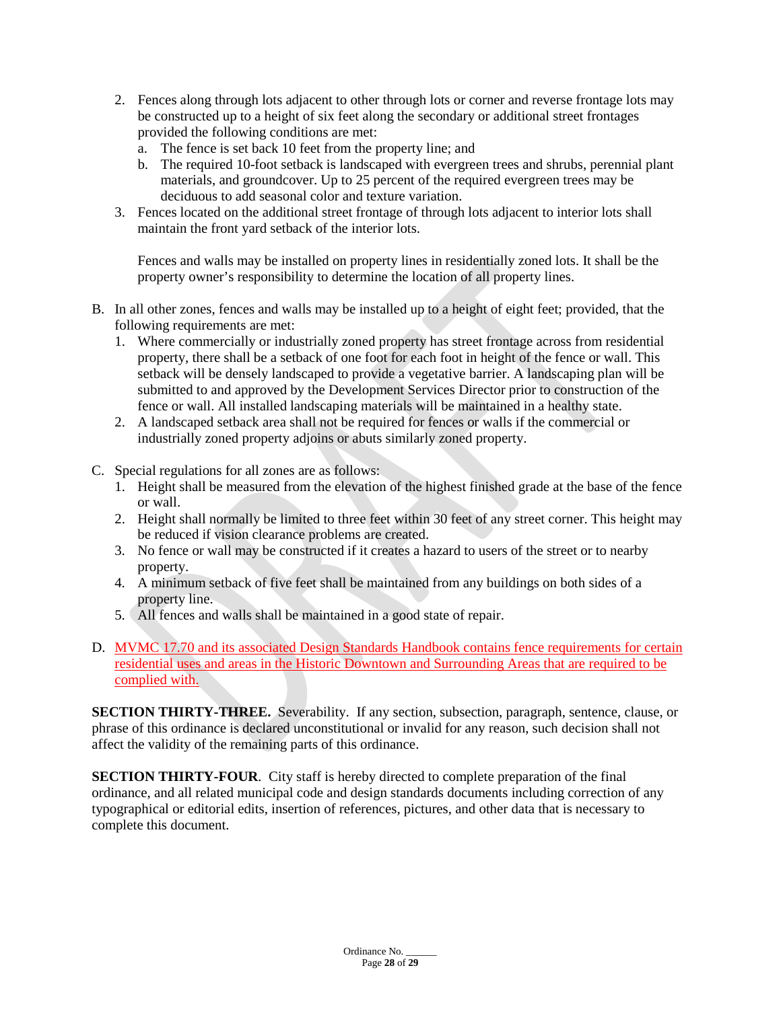- 2. Fences along through lots adjacent to other through lots or corner and reverse frontage lots may be constructed up to a height of six feet along the secondary or additional street frontages provided the following conditions are met:
	- a. The fence is set back 10 feet from the property line; and
	- b. The required 10-foot setback is landscaped with evergreen trees and shrubs, perennial plant materials, and groundcover. Up to 25 percent of the required evergreen trees may be deciduous to add seasonal color and texture variation.
- 3. Fences located on the additional street frontage of through lots adjacent to interior lots shall maintain the front yard setback of the interior lots.

Fences and walls may be installed on property lines in residentially zoned lots. It shall be the property owner's responsibility to determine the location of all property lines.

- B. In all other zones, fences and walls may be installed up to a height of eight feet; provided, that the following requirements are met:
	- 1. Where commercially or industrially zoned property has street frontage across from residential property, there shall be a setback of one foot for each foot in height of the fence or wall. This setback will be densely landscaped to provide a vegetative barrier. A landscaping plan will be submitted to and approved by the Development Services Director prior to construction of the fence or wall. All installed landscaping materials will be maintained in a healthy state.
	- 2. A landscaped setback area shall not be required for fences or walls if the commercial or industrially zoned property adjoins or abuts similarly zoned property.
- C. Special regulations for all zones are as follows:
	- 1. Height shall be measured from the elevation of the highest finished grade at the base of the fence or wall.
	- 2. Height shall normally be limited to three feet within 30 feet of any street corner. This height may be reduced if vision clearance problems are created.
	- 3. No fence or wall may be constructed if it creates a hazard to users of the street or to nearby property.
	- 4. A minimum setback of five feet shall be maintained from any buildings on both sides of a property line.
	- 5. All fences and walls shall be maintained in a good state of repair.
- D. MVMC 17.70 and its associated Design Standards Handbook contains fence requirements for certain residential uses and areas in the Historic Downtown and Surrounding Areas that are required to be complied with.

**SECTION THIRTY-THREE.** Severability. If any section, subsection, paragraph, sentence, clause, or phrase of this ordinance is declared unconstitutional or invalid for any reason, such decision shall not affect the validity of the remaining parts of this ordinance.

**SECTION THIRTY-FOUR.** City staff is hereby directed to complete preparation of the final ordinance, and all related municipal code and design standards documents including correction of any typographical or editorial edits, insertion of references, pictures, and other data that is necessary to complete this document.